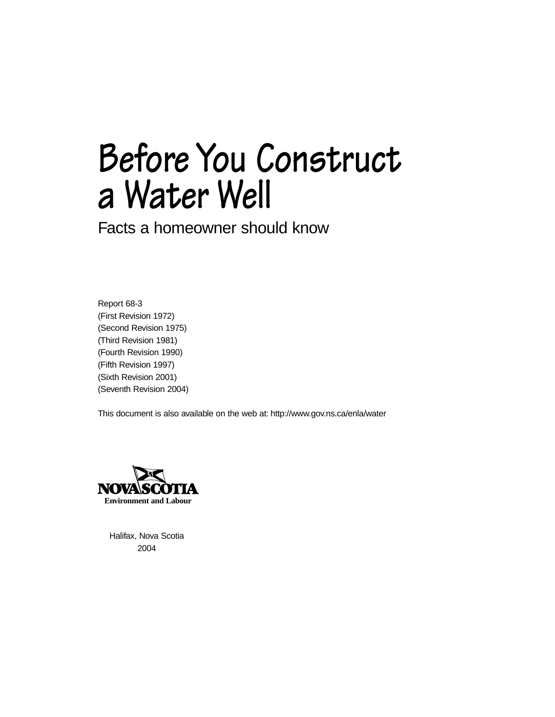# **Before You Construct a Water Well**

Facts a homeowner should know

Report 68-3 (First Revision 1972) (Second Revision 1975) (Third Revision 1981) (Fourth Revision 1990) (Fifth Revision 1997) (Sixth Revision 2001) (Seventh Revision 2004)

This document is also available on the web at: <http://www.gov.ns.ca/enla/water>



Halifax, Nova Scotia 2004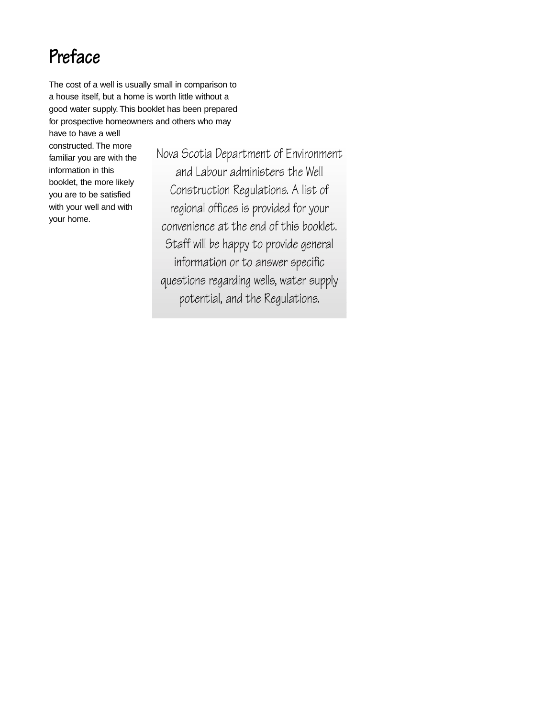# **Preface**

The cost of a well is usually small in comparison to a house itself, but a home is worth little without a good water supply. This booklet has been prepared for prospective homeowners and others who may

have to have a well constructed. The more familiar you are with the information in this booklet, the more likely you are to be satisfied with your well and with your home.

Nova Scotia Department of Environment and Labour administers the Well Construction Regulations. A list of regional offices is provided for your convenience at the end of this booklet. Staff will be happy to provide general information or to answer specific questions regarding wells, water supply potential, and the Regulations.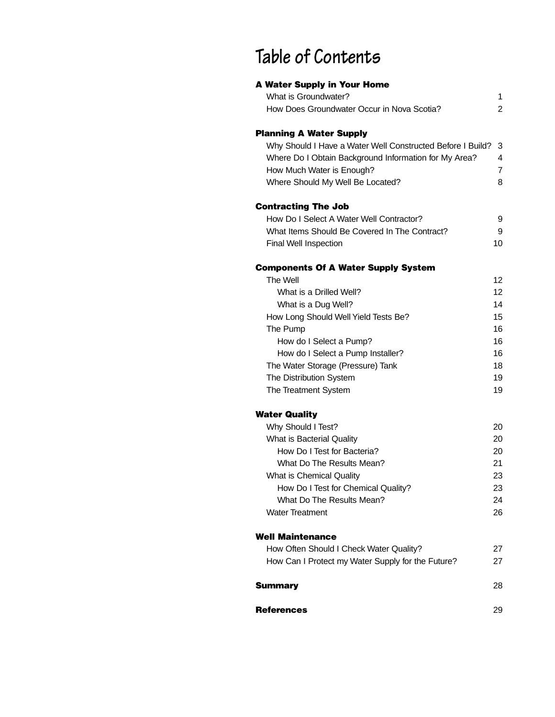# **Table of Contents**

| <b>A Water Supply in Your Home</b>                                     |                |
|------------------------------------------------------------------------|----------------|
| What is Groundwater?                                                   | 1              |
| How Does Groundwater Occur in Nova Scotia?                             | $\overline{c}$ |
| <b>Planning A Water Supply</b>                                         |                |
| Why Should I Have a Water Well Constructed Before I Build?             | 3              |
| Where Do I Obtain Background Information for My Area?                  | 4              |
| How Much Water is Enough?                                              | $\overline{7}$ |
| Where Should My Well Be Located?                                       | 8              |
| <b>Contracting The Job</b>                                             |                |
| How Do I Select A Water Well Contractor?                               | 9              |
| What Items Should Be Covered In The Contract?                          | 9              |
| Final Well Inspection                                                  | 10             |
| <b>Components Of A Water Supply System</b>                             |                |
| The Well                                                               | 12             |
| What is a Drilled Well?                                                | 12             |
| What is a Dug Well?                                                    | 14             |
| How Long Should Well Yield Tests Be?                                   | 15             |
| The Pump                                                               | 16             |
| How do I Select a Pump?                                                | 16<br>16       |
| How do I Select a Pump Installer?<br>The Water Storage (Pressure) Tank | 18             |
| The Distribution System                                                | 19             |
| The Treatment System                                                   | 19             |
| <b>Water Quality</b>                                                   |                |
| Why Should I Test?                                                     | 20             |
| What is Bacterial Quality                                              | 20             |
| How Do I Test for Bacteria?                                            | 20             |
| What Do The Results Mean?                                              | 21             |
| What is Chemical Quality                                               | 23             |
| How Do I Test for Chemical Quality?                                    | 23             |
| What Do The Results Mean?                                              | 24             |
| <b>Water Treatment</b>                                                 | 26             |
| <b>Well Maintenance</b>                                                |                |
| How Often Should I Check Water Quality?                                | 27             |
| How Can I Protect my Water Supply for the Future?                      | 27             |
| <b>Summary</b>                                                         | 28             |
| <b>References</b>                                                      | 29             |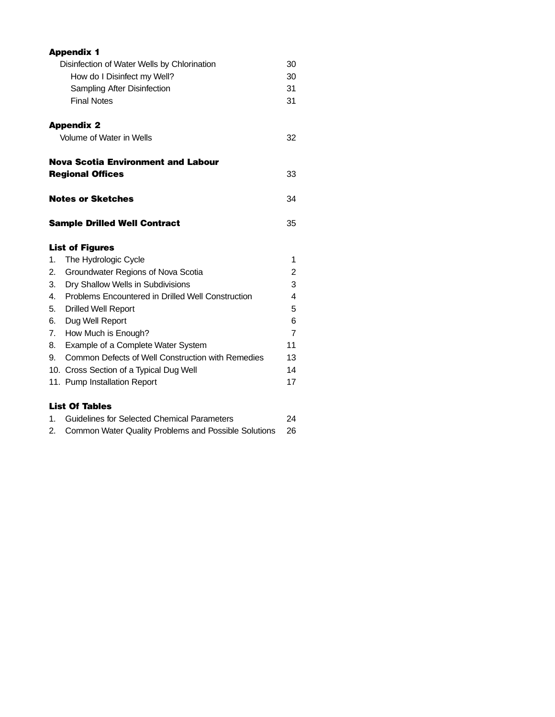|    | <b>Appendix 1</b>                                    |    |
|----|------------------------------------------------------|----|
|    | Disinfection of Water Wells by Chlorination          | 30 |
|    | How do I Disinfect my Well?                          | 30 |
|    | Sampling After Disinfection                          | 31 |
|    | <b>Final Notes</b>                                   | 31 |
|    | <b>Appendix 2</b>                                    |    |
|    | Volume of Water in Wells                             | 32 |
|    | <b>Nova Scotia Environment and Labour</b>            |    |
|    | <b>Regional Offices</b>                              | 33 |
|    | <b>Notes or Sketches</b>                             | 34 |
|    | <b>Sample Drilled Well Contract</b>                  | 35 |
|    | <b>List of Figures</b>                               |    |
| 1. | The Hydrologic Cycle                                 | 1  |
| 2. | Groundwater Regions of Nova Scotia                   | 2  |
| 3. | Dry Shallow Wells in Subdivisions                    | 3  |
| 4. | Problems Encountered in Drilled Well Construction    | 4  |
| 5. | <b>Drilled Well Report</b>                           | 5  |
| 6. | Dug Well Report                                      | 6  |
| 7. | How Much is Enough?                                  | 7  |
| 8. | Example of a Complete Water System                   | 11 |
| 9. | Common Defects of Well Construction with Remedies    | 13 |
|    | 10. Cross Section of a Typical Dug Well              | 14 |
|    | 11. Pump Installation Report                         | 17 |
|    | <b>List Of Tables</b>                                |    |
| 1. | Guidelines for Selected Chemical Parameters          | 24 |
| 2. | Common Water Quality Problems and Possible Solutions | 26 |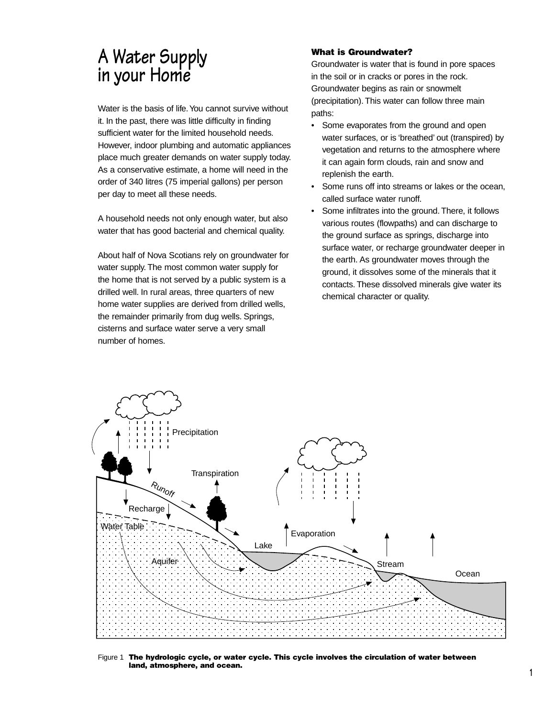# **A Water Supply in your Home**

Water is the basis of life.You cannot survive without it. In the past, there was little difficulty in finding sufficient water for the limited household needs. However, indoor plumbing and automatic appliances place much greater demands on water supply today. As a conservative estimate, a home will need in the order of 340 litres (75 imperial gallons) per person per day to meet all these needs.

A household needs not only enough water, but also water that has good bacterial and chemical quality.

About half of Nova Scotians rely on groundwater for water supply. The most common water supply for the home that is not served by a public system is a drilled well. In rural areas, three quarters of new home water supplies are derived from drilled wells, the remainder primarily from dug wells. Springs, cisterns and surface water serve a very small number of homes.

#### **What is Groundwater?**

Groundwater is water that is found in pore spaces in the soil or in cracks or pores in the rock. Groundwater begins as rain or snowmelt (precipitation). This water can follow three main paths:

- Some evaporates from the ground and open water surfaces, or is 'breathed' out (transpired) by vegetation and returns to the atmosphere where it can again form clouds, rain and snow and replenish the earth.
- Some runs off into streams or lakes or the ocean, called surface water runoff.
- Some infiltrates into the ground. There, it follows various routes (flowpaths) and can discharge to the ground surface as springs, discharge into surface water, or recharge groundwater deeper in the earth. As groundwater moves through the ground, it dissolves some of the minerals that it contacts. These dissolved minerals give water its chemical character or quality.



Figure 1 **The hydrologic cycle, or water cycle. This cycle involves the circulation of water between land, atmosphere, and ocean.**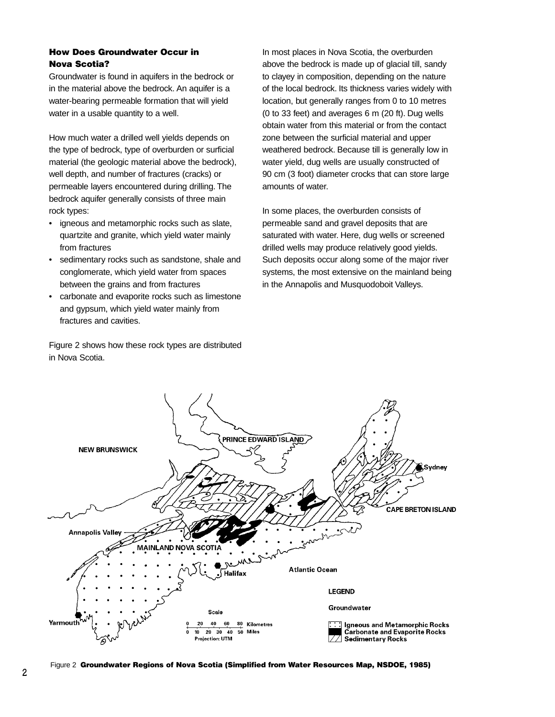#### **How Does Groundwater Occur in Nova Scotia?**

Groundwater is found in aquifers in the bedrock or in the material above the bedrock. An aquifer is a water-bearing permeable formation that will yield water in a usable quantity to a well.

How much water a drilled well yields depends on the type of bedrock, type of overburden or surficial material (the geologic material above the bedrock), well depth, and number of fractures (cracks) or permeable layers encountered during drilling. The bedrock aquifer generally consists of three main rock types:

- igneous and metamorphic rocks such as slate, quartzite and granite, which yield water mainly from fractures
- sedimentary rocks such as sandstone, shale and conglomerate, which yield water from spaces between the grains and from fractures
- carbonate and evaporite rocks such as limestone and gypsum, which yield water mainly from fractures and cavities.

Figure 2 shows how these rock types are distributed in Nova Scotia.

In most places in Nova Scotia, the overburden above the bedrock is made up of glacial till, sandy to clayey in composition, depending on the nature of the local bedrock. Its thickness varies widely with location, but generally ranges from 0 to 10 metres (0 to 33 feet) and averages 6 m (20 ft). Dug wells obtain water from this material or from the contact zone between the surficial material and upper weathered bedrock. Because till is generally low in water yield, dug wells are usually constructed of 90 cm (3 foot) diameter crocks that can store large amounts of water.

In some places, the overburden consists of permeable sand and gravel deposits that are saturated with water. Here, dug wells or screened drilled wells may produce relatively good yields. Such deposits occur along some of the major river systems, the most extensive on the mainland being in the Annapolis and Musquodoboit Valleys.



**<sup>2</sup>** Figure 2 **Groundwater Regions of Nova Scotia (Simplified from Water Resources Map, NSDOE, 1985)**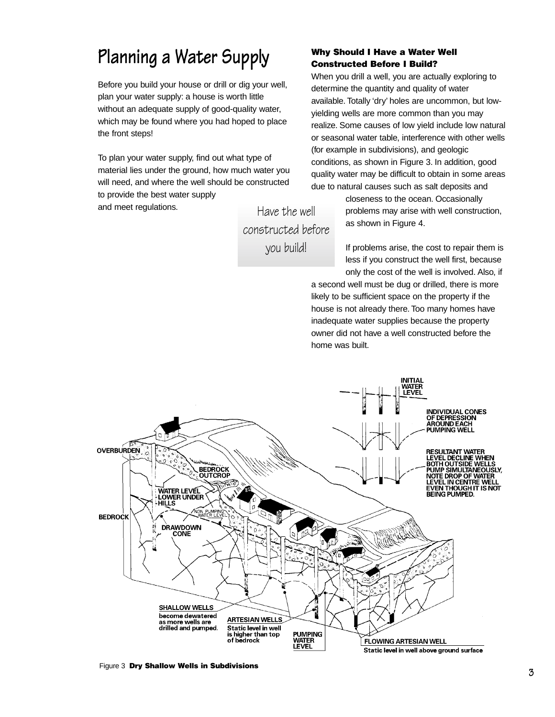# **Planning a Water Supply**

Before you build your house or drill or dig your well, plan your water supply: a house is worth little without an adequate supply of good-quality water, which may be found where you had hoped to place the front steps!

To plan your water supply, find out what type of material lies under the ground, how much water you will need, and where the well should be constructed to provide the best water supply and meet regulations.

Have the well constructed before you build!

#### **Why Should I Have a Water Well Constructed Before I Build?**

When you drill a well, you are actually exploring to determine the quantity and quality of water available. Totally 'dry' holes are uncommon, but lowyielding wells are more common than you may realize. Some causes of low yield include low natural or seasonal water table, interference with other wells (for example in subdivisions), and geologic conditions, as shown in Figure 3. In addition, good quality water may be difficult to obtain in some areas due to natural causes such as salt deposits and

> closeness to the ocean. Occasionally problems may arise with well construction, as shown in Figure 4.

> If problems arise, the cost to repair them is less if you construct the well first, because only the cost of the well is involved. Also, if

a second well must be dug or drilled, there is more likely to be sufficient space on the property if the house is not already there. Too many homes have inadequate water supplies because the property owner did not have a well constructed before the home was built.



Figure 3 **Dry Shallow Wells in Subdivisions**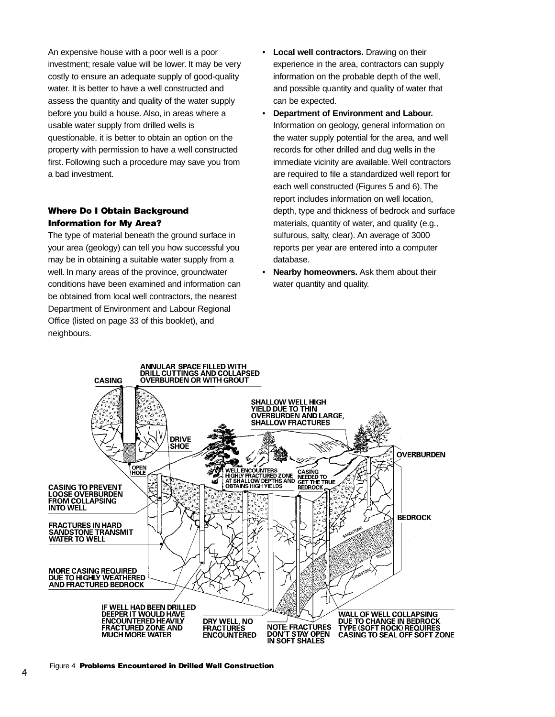An expensive house with a poor well is a poor investment; resale value will be lower. It may be very costly to ensure an adequate supply of good-quality water. It is better to have a well constructed and assess the quantity and quality of the water supply before you build a house. Also, in areas where a usable water supply from drilled wells is questionable, it is better to obtain an option on the property with permission to have a well constructed first. Following such a procedure may save you from a bad investment.

#### **Where Do I Obtain Background Information for My Area?**

The type of material beneath the ground surface in your area (geology) can tell you how successful you may be in obtaining a suitable water supply from a well. In many areas of the province, groundwater conditions have been examined and information can be obtained from local well contractors, the nearest Department of Environment and Labour Regional Office (listed on page 33 of this booklet), and neighbours.

- **Local well contractors.** Drawing on their experience in the area, contractors can supply information on the probable depth of the well, and possible quantity and quality of water that can be expected.
- **Department of Environment and Labour.** Information on geology, general information on the water supply potential for the area, and well records for other drilled and dug wells in the immediate vicinity are available. Well contractors are required to file a standardized well report for each well constructed (Figures 5 and 6). The report includes information on well location, depth, type and thickness of bedrock and surface materials, quantity of water, and quality (e.g., sulfurous, salty, clear). An average of 3000 reports per year are entered into a computer database.
- **Nearby homeowners.** Ask them about their water quantity and quality.

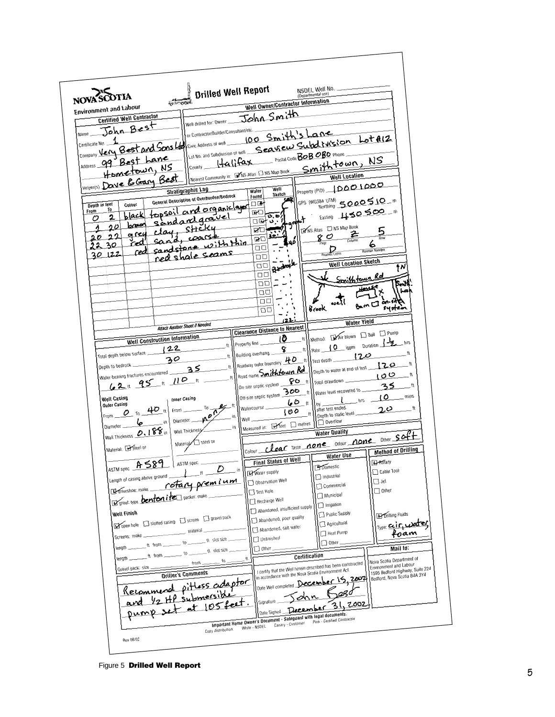

**<sup>5</sup>** Figure 5 **Drilled Well Report**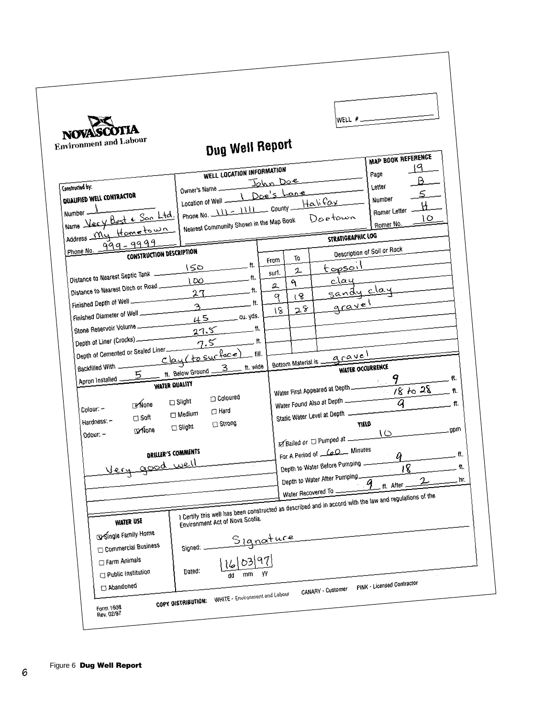| NOVASCOTIA<br><b>Environment and Labour</b>                                                                                                                                                                                                                                                                                                                                                                                                                                                      | Dug Well Report                                                                                                                                                                                                                                             |                                                                                                                                                                                                                                                                                                                                                   | WELL $#$                                                                                                                                                                                                          |                                               |
|--------------------------------------------------------------------------------------------------------------------------------------------------------------------------------------------------------------------------------------------------------------------------------------------------------------------------------------------------------------------------------------------------------------------------------------------------------------------------------------------------|-------------------------------------------------------------------------------------------------------------------------------------------------------------------------------------------------------------------------------------------------------------|---------------------------------------------------------------------------------------------------------------------------------------------------------------------------------------------------------------------------------------------------------------------------------------------------------------------------------------------------|-------------------------------------------------------------------------------------------------------------------------------------------------------------------------------------------------------------------|-----------------------------------------------|
| Constructed by:<br>QUALIFIED WELL CONTRACTOR                                                                                                                                                                                                                                                                                                                                                                                                                                                     | WELL LOCATION INFORMATION<br>Owner's Name John Doe<br>Location of Well <u>\ Doe's Lane</u><br>Phone No. $11 - 1111$ County $Ha\dot{a}$                                                                                                                      |                                                                                                                                                                                                                                                                                                                                                   | MAP BOOK REFERENCE<br>Page<br>Letter<br>Number                                                                                                                                                                    |                                               |
| Number 1<br>Name Very Best & Son Ltd.<br>Address My Hometown<br>999-9999<br>Phone No. -                                                                                                                                                                                                                                                                                                                                                                                                          | Nearest Community Shown in the Map Book                                                                                                                                                                                                                     |                                                                                                                                                                                                                                                                                                                                                   | Romer Letter<br>Doetown<br>Romer No.<br><b>STRATIGRAPHIC LOG</b>                                                                                                                                                  | ١O                                            |
| CONSTRUCTION DESCRIPTION<br>Distance to Nearest Septic Tank -<br>Distance to Nearest Ditch or Road<br>Finished Depth of Well<br>Finished Diameter of Well<br>Stone Reservoir Volume<br>Depth of Liner (Crocks) ______<br>Depth of Cemented or Sealed Liner<br>Backfilled With Clay (to surface) fill.<br>5<br>Apron Installed _<br><b>WATER QUALITY</b><br><b>Exflore</b><br>Colour: -<br>$\Box$ Soft<br>Hardness: -<br><b>EXVORE</b><br>Odour: -<br>DRILLER'S COMMENTS<br><u>Very good well</u> | ft.<br>$150 -$<br>100<br>ft.<br>27<br>$\overline{t}$ tt.<br>$\mathcal{F}_{\mathcal{L}}$<br>$45$ cu. yds.<br>$27.5$ tt.<br>$\overline{\phantom{a}}$<br>7.5<br>ft. Below Ground 3<br>Coloured<br>Slight<br>$\Box$ Hard<br>Medium<br>□ Strong<br>$\Box$ Slight | То<br>From<br>2<br>surf.<br>٩<br>2<br>18<br>q<br>28<br>18<br>Bottom Material is -<br>Water First Appeared at Depth<br>Water Found Also at Depth<br>Static Water Level at Depth<br>⊠Bailed or □ Pumped at ______<br>For A Period of <u>CoO</u> Minutes<br>Depth to Water Before Pumping -<br>Depth to Water After Pumping.<br>Water Recovered To _ | Description of Soil or Rock<br><u>topsoil</u><br>clay<br>sandy clay<br>gravel<br>gravel<br><b>WATER OCCURRENCE</b><br>$-9$<br>$18 + 28$<br>ā<br>YIELD<br>$\circ$<br>$\boldsymbol{q}$<br>18<br>$2-$<br>ft. After _ | ft.<br>ft.<br>ft.<br>.gpm<br>ft.<br>π.<br>hr. |
| <b>WATER USE</b><br>Single Family Home<br>Commercial Business<br>Farm Animals<br>Public Institution<br>Abandoned                                                                                                                                                                                                                                                                                                                                                                                 | Environment Act of Nova Scotia.<br>Signature<br>16/03/97<br>Signed: _<br>Dated:<br>mm<br>dd<br><b>WHITE - Environment and Labour</b>                                                                                                                        | yy<br><b>CANARY - Customer</b>                                                                                                                                                                                                                                                                                                                    | I Certify this well has been constructed as described and in accord with the law and regulations of the<br>PINK - Licensed Contractor                                                                             |                                               |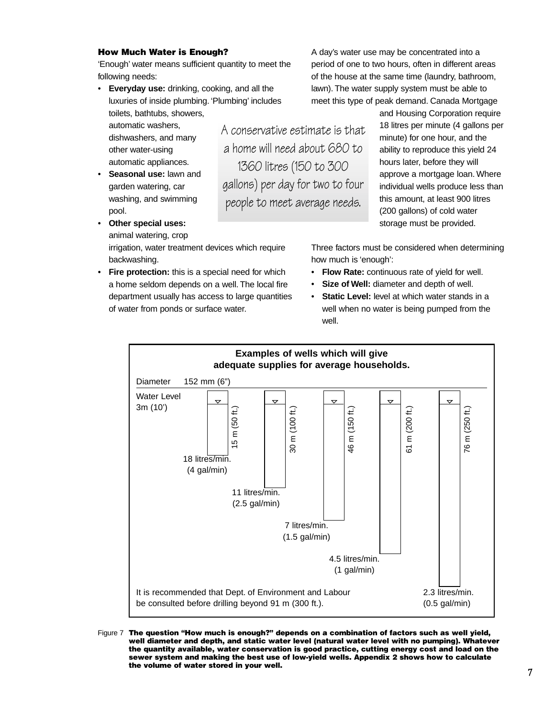#### **How Much Water is Enough?**

'Enough' water means sufficient quantity to meet the following needs:

• **Everyday use:** drinking, cooking, and all the luxuries of inside plumbing. 'Plumbing' includes toilets, bathtubs, showers,

automatic washers, dishwashers, and many other water-using automatic appliances.

- **Seasonal use:** lawn and garden watering, car washing, and swimming pool.
- **Other special uses:** animal watering, crop irrigation, water treatment devices which require backwashing.
- **Fire protection:** this is a special need for which a home seldom depends on a well. The local fire department usually has access to large quantities of water from ponds or surface water.

A day's water use may be concentrated into a period of one to two hours, often in different areas of the house at the same time (laundry, bathroom, lawn). The water supply system must be able to meet this type of peak demand. Canada Mortgage

A conservative estimate is that a home will need about 680 to 1360 litres (150 to 300 gallons) per day for two to four people to meet average needs.

and Housing Corporation require 18 litres per minute (4 gallons per minute) for one hour, and the ability to reproduce this yield 24 hours later, before they will approve a mortgage loan. Where individual wells produce less than this amount, at least 900 litres (200 gallons) of cold water storage must be provided.

Three factors must be considered when determining how much is 'enough':

- **Flow Rate:** continuous rate of yield for well.
- Size of Well: diameter and depth of well.
- **Static Level:** level at which water stands in a well when no water is being pumped from the well.



Figure 7 **The question "How much is enough?" depends on a combination of factors such as well yield, well diameter and depth, and static water level (natural water level with no pumping). Whatever the quantity available, water conservation is good practice, cutting energy cost and load on the sewer system and making the best use of low-yield wells. Appendix 2 shows how to calculate the volume of water stored in your well.**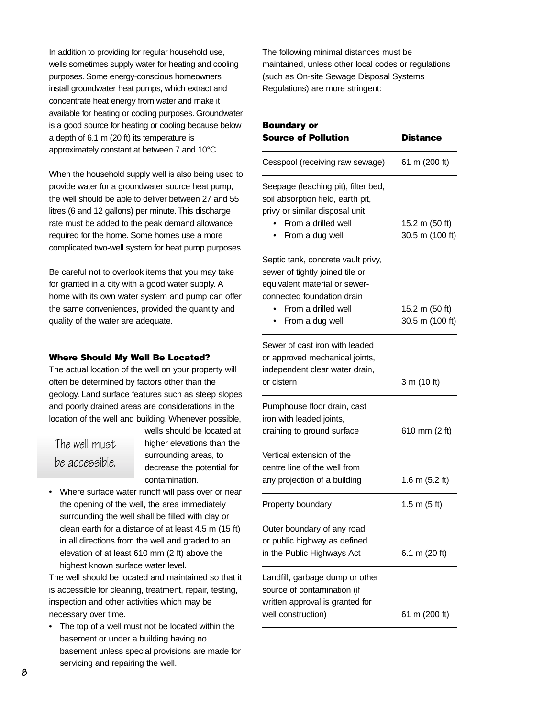In addition to providing for regular household use, wells sometimes supply water for heating and cooling purposes. Some energy-conscious homeowners install groundwater heat pumps, which extract and concentrate heat energy from water and make it available for heating or cooling purposes. Groundwater is a good source for heating or cooling because below a depth of 6.1 m (20 ft) its temperature is approximately constant at between 7 and 10°C.

When the household supply well is also being used to provide water for a groundwater source heat pump, the well should be able to deliver between 27 and 55 litres (6 and 12 gallons) per minute. This discharge rate must be added to the peak demand allowance required for the home. Some homes use a more complicated two-well system for heat pump purposes.

Be careful not to overlook items that you may take for granted in a city with a good water supply. A home with its own water system and pump can offer the same conveniences, provided the quantity and quality of the water are adequate.

#### **Where Should My Well Be Located?**

The actual location of the well on your property will often be determined by factors other than the geology. Land surface features such as steep slopes and poorly drained areas are considerations in the location of the well and building. Whenever possible,

### The well must be accessible.

wells should be located at higher elevations than the surrounding areas, to decrease the potential for contamination.

• Where surface water runoff will pass over or near the opening of the well, the area immediately surrounding the well shall be filled with clay or clean earth for a distance of at least 4.5 m (15 ft) in all directions from the well and graded to an elevation of at least 610 mm (2 ft) above the highest known surface water level.

The well should be located and maintained so that it is accessible for cleaning, treatment, repair, testing, inspection and other activities which may be necessary over time.

• The top of a well must not be located within the basement or under a building having no basement unless special provisions are made for servicing and repairing the well.

The following minimal distances must be maintained, unless other local codes or regulations (such as On-site Sewage Disposal Systems Regulations) are more stringent:

| <b>Boundary or</b><br><b>Source of Pollution</b> | Distance                 |
|--------------------------------------------------|--------------------------|
| Cesspool (receiving raw sewage)                  | 61 m (200 ft)            |
| Seepage (leaching pit), filter bed,              |                          |
| soil absorption field, earth pit,                |                          |
| privy or similar disposal unit                   |                          |
| From a drilled well                              | 15.2 m (50 ft)           |
| From a dug well                                  | 30.5 m (100 ft)          |
| Septic tank, concrete vault privy,               |                          |
| sewer of tightly joined tile or                  |                          |
| equivalent material or sewer-                    |                          |
| connected foundation drain                       |                          |
| From a drilled well                              | 15.2 m (50 ft)           |
| From a dug well                                  | 30.5 m (100 ft)          |
| Sewer of cast iron with leaded                   |                          |
| or approved mechanical joints,                   |                          |
| independent clear water drain,                   |                          |
| or cistern                                       | 3 m (10 ft)              |
| Pumphouse floor drain, cast                      |                          |
| iron with leaded joints,                         |                          |
| draining to ground surface                       | 610 mm (2 ft)            |
| Vertical extension of the                        |                          |
| centre line of the well from                     |                          |
| any projection of a building                     | 1.6 m $(5.2 \text{ ft})$ |
| Property boundary                                | 1.5 m $(5 ft)$           |
| Outer boundary of any road                       |                          |
| or public highway as defined                     |                          |
| in the Public Highways Act                       | 6.1 m (20 ft)            |
| Landfill, garbage dump or other                  |                          |
| source of contamination (if                      |                          |
| written approval is granted for                  |                          |
| well construction)                               | 61 m (200 ft)            |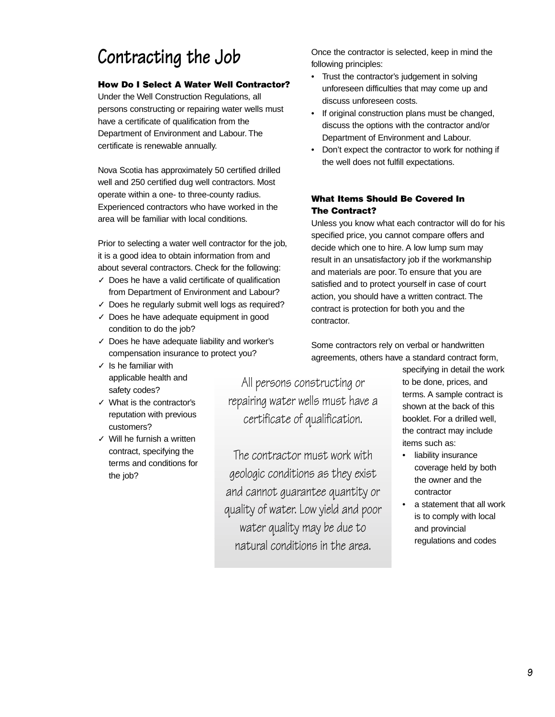# **Contracting the Job**

### **How Do I Select A Water Well Contractor?**

Under the Well Construction Regulations, all persons constructing or repairing water wells must have a certificate of qualification from the Department of Environment and Labour. The certificate is renewable annually.

Nova Scotia has approximately 50 certified drilled well and 250 certified dug well contractors. Most operate within a one- to three-county radius. Experienced contractors who have worked in the area will be familiar with local conditions.

Prior to selecting a water well contractor for the job, it is a good idea to obtain information from and about several contractors. Check for the following:

- ✓ Does he have a valid certificate of qualification from Department of Environment and Labour?
- $\checkmark$  Does he regularly submit well logs as required?
- ✓ Does he have adequate equipment in good condition to do the job?
- ✓ Does he have adequate liability and worker's compensation insurance to protect you?
- $\checkmark$  Is he familiar with applicable health and safety codes?
- ✓ What is the contractor's reputation with previous customers?
- ✓ Will he furnish a written contract, specifying the terms and conditions for the job?

Once the contractor is selected, keep in mind the following principles:

- Trust the contractor's judgement in solving unforeseen difficulties that may come up and discuss unforeseen costs.
- If original construction plans must be changed, discuss the options with the contractor and/or Department of Environment and Labour.
- Don't expect the contractor to work for nothing if the well does not fulfill expectations.

### **What Items Should Be Covered In The Contract?**

Unless you know what each contractor will do for his specified price, you cannot compare offers and decide which one to hire. A low lump sum may result in an unsatisfactory job if the workmanship and materials are poor. To ensure that you are satisfied and to protect yourself in case of court action, you should have a written contract. The contract is protection for both you and the contractor.

Some contractors rely on verbal or handwritten agreements, others have a standard contract form,

All persons constructing or repairing water wells must have a certificate of qualification.

The contractor must work with geologic conditions as they exist and cannot guarantee quantity or quality of water. Low yield and poor water quality may be due to natural conditions in the area.

specifying in detail the work to be done, prices, and terms. A sample contract is shown at the back of this booklet. For a drilled well, the contract may include items such as:

- liability insurance coverage held by both the owner and the contractor
- a statement that all work is to comply with local and provincial regulations and codes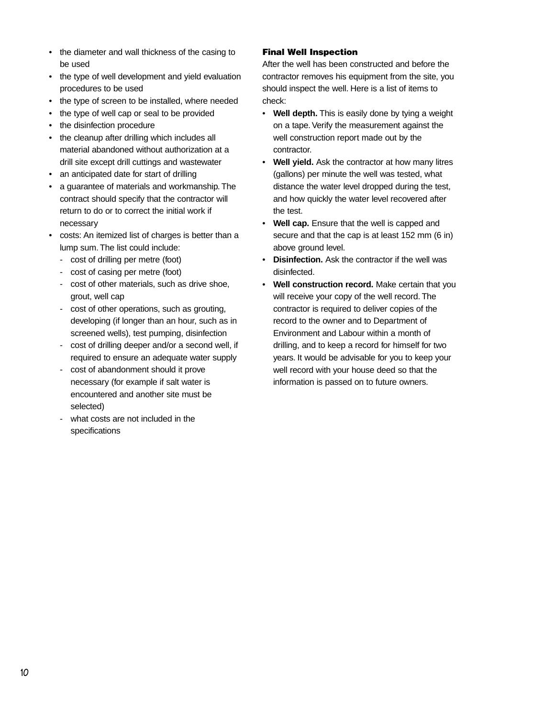- the diameter and wall thickness of the casing to be used
- the type of well development and yield evaluation procedures to be used
- the type of screen to be installed, where needed
- the type of well cap or seal to be provided
- the disinfection procedure
- the cleanup after drilling which includes all material abandoned without authorization at a drill site except drill cuttings and wastewater
- an anticipated date for start of drilling
- a guarantee of materials and workmanship. The contract should specify that the contractor will return to do or to correct the initial work if necessary
- costs: An itemized list of charges is better than a lump sum. The list could include:
	- cost of drilling per metre (foot)
	- cost of casing per metre (foot)
	- cost of other materials, such as drive shoe, grout, well cap
	- cost of other operations, such as grouting, developing (if longer than an hour, such as in screened wells), test pumping, disinfection
	- cost of drilling deeper and/or a second well, if required to ensure an adequate water supply
	- cost of abandonment should it prove necessary (for example if salt water is encountered and another site must be selected)
	- what costs are not included in the specifications

#### **Final Well Inspection**

After the well has been constructed and before the contractor removes his equipment from the site, you should inspect the well. Here is a list of items to check:

- **Well depth.** This is easily done by tying a weight on a tape. Verify the measurement against the well construction report made out by the contractor.
- **Well yield.** Ask the contractor at how many litres (gallons) per minute the well was tested, what distance the water level dropped during the test, and how quickly the water level recovered after the test.
- **Well cap.** Ensure that the well is capped and secure and that the cap is at least 152 mm (6 in) above ground level.
- **Disinfection.** Ask the contractor if the well was disinfected.
- **Well construction record.** Make certain that you will receive your copy of the well record. The contractor is required to deliver copies of the record to the owner and to Department of Environment and Labour within a month of drilling, and to keep a record for himself for two years. It would be advisable for you to keep your well record with your house deed so that the information is passed on to future owners.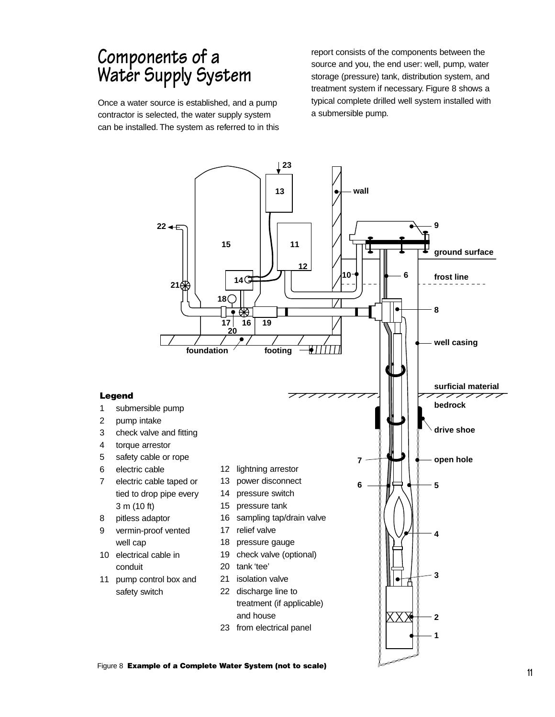### **Components of a Water Supply System**

Once a water source is established, and a pump contractor is selected, the water supply system can be installed. The system as referred to in this report consists of the components between the source and you, the end user: well, pump, water storage (pressure) tank, distribution system, and treatment system if necessary. Figure 8 shows a typical complete drilled well system installed with a submersible pump.

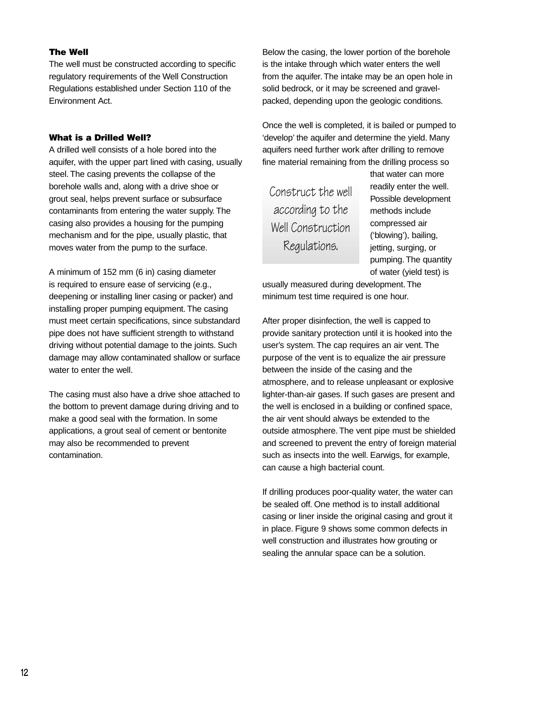#### **The Well**

The well must be constructed according to specific regulatory requirements of the Well Construction Regulations established under Section 110 of the Environment Act.

#### **What is a Drilled Well?**

A drilled well consists of a hole bored into the aquifer, with the upper part lined with casing, usually steel. The casing prevents the collapse of the borehole walls and, along with a drive shoe or grout seal, helps prevent surface or subsurface contaminants from entering the water supply. The casing also provides a housing for the pumping mechanism and for the pipe, usually plastic, that moves water from the pump to the surface.

A minimum of 152 mm (6 in) casing diameter is required to ensure ease of servicing (e.g., deepening or installing liner casing or packer) and installing proper pumping equipment. The casing must meet certain specifications, since substandard pipe does not have sufficient strength to withstand driving without potential damage to the joints. Such damage may allow contaminated shallow or surface water to enter the well.

The casing must also have a drive shoe attached to the bottom to prevent damage during driving and to make a good seal with the formation. In some applications, a grout seal of cement or bentonite may also be recommended to prevent contamination.

Below the casing, the lower portion of the borehole is the intake through which water enters the well from the aquifer. The intake may be an open hole in solid bedrock, or it may be screened and gravelpacked, depending upon the geologic conditions.

Once the well is completed, it is bailed or pumped to 'develop' the aquifer and determine the yield. Many aquifers need further work after drilling to remove fine material remaining from the drilling process so

Construct the well according to the Well Construction Regulations.

that water can more readily enter the well. Possible development methods include compressed air ('blowing'), bailing, jetting, surging, or pumping. The quantity of water (yield test) is

usually measured during development. The minimum test time required is one hour.

After proper disinfection, the well is capped to provide sanitary protection until it is hooked into the user's system. The cap requires an air vent. The purpose of the vent is to equalize the air pressure between the inside of the casing and the atmosphere, and to release unpleasant or explosive lighter-than-air gases. If such gases are present and the well is enclosed in a building or confined space, the air vent should always be extended to the outside atmosphere. The vent pipe must be shielded and screened to prevent the entry of foreign material such as insects into the well. Earwigs, for example, can cause a high bacterial count.

If drilling produces poor-quality water, the water can be sealed off. One method is to install additional casing or liner inside the original casing and grout it in place. Figure 9 shows some common defects in well construction and illustrates how grouting or sealing the annular space can be a solution.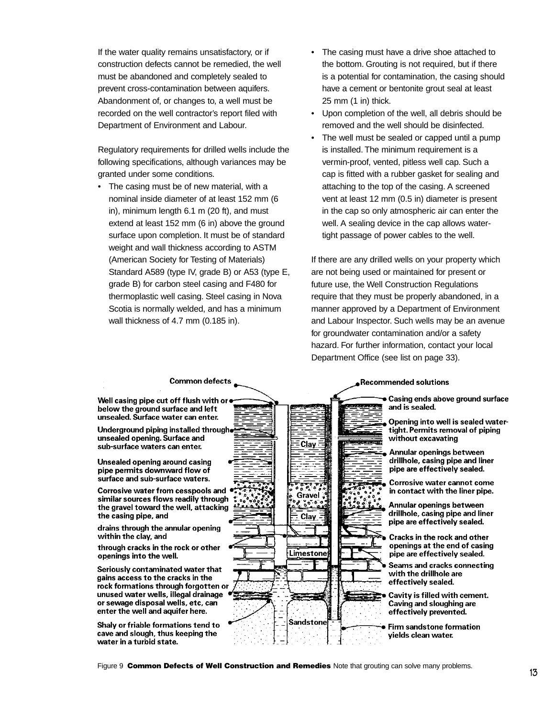If the water quality remains unsatisfactory, or if construction defects cannot be remedied, the well must be abandoned and completely sealed to prevent cross-contamination between aquifers. Abandonment of, or changes to, a well must be recorded on the well contractor's report filed with Department of Environment and Labour.

Regulatory requirements for drilled wells include the following specifications, although variances may be granted under some conditions.

• The casing must be of new material, with a nominal inside diameter of at least 152 mm (6 in), minimum length 6.1 m (20 ft), and must extend at least 152 mm (6 in) above the ground surface upon completion. It must be of standard weight and wall thickness according to ASTM (American Society for Testing of Materials) Standard A589 (type IV, grade B) or A53 (type E, grade B) for carbon steel casing and F480 for thermoplastic well casing. Steel casing in Nova Scotia is normally welded, and has a minimum wall thickness of 4.7 mm (0.185 in).

- The casing must have a drive shoe attached to the bottom. Grouting is not required, but if there is a potential for contamination, the casing should have a cement or bentonite grout seal at least 25 mm (1 in) thick.
- Upon completion of the well, all debris should be removed and the well should be disinfected.
- The well must be sealed or capped until a pump is installed. The minimum requirement is a vermin-proof, vented, pitless well cap. Such a cap is fitted with a rubber gasket for sealing and attaching to the top of the casing. A screened vent at least 12 mm (0.5 in) diameter is present in the cap so only atmospheric air can enter the well. A sealing device in the cap allows watertight passage of power cables to the well.

If there are any drilled wells on your property which are not being used or maintained for present or future use, the Well Construction Regulations require that they must be properly abandoned, in a manner approved by a Department of Environment and Labour Inspector. Such wells may be an avenue for groundwater contamination and/or a safety hazard. For further information, contact your local Department Office (see list on page 33).



Figure 9 **Common Defects of Well Construction and Remedies** Note that grouting can solve many problems.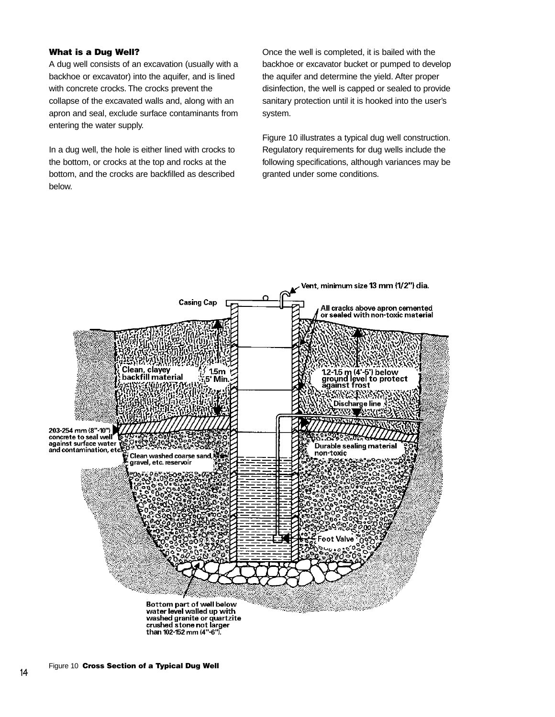#### **What is a Dug Well?**

A dug well consists of an excavation (usually with a backhoe or excavator) into the aquifer, and is lined with concrete crocks. The crocks prevent the collapse of the excavated walls and, along with an apron and seal, exclude surface contaminants from entering the water supply.

In a dug well, the hole is either lined with crocks to the bottom, or crocks at the top and rocks at the bottom, and the crocks are backfilled as described below.

Once the well is completed, it is bailed with the backhoe or excavator bucket or pumped to develop the aquifer and determine the yield. After proper disinfection, the well is capped or sealed to provide sanitary protection until it is hooked into the user's system.

Figure 10 illustrates a typical dug well construction. Regulatory requirements for dug wells include the following specifications, although variances may be granted under some conditions.

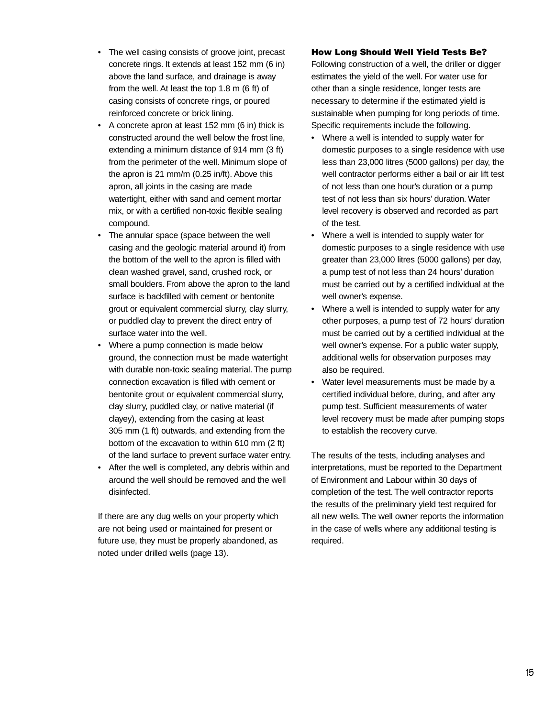- The well casing consists of groove joint, precast concrete rings. It extends at least 152 mm (6 in) above the land surface, and drainage is away from the well. At least the top 1.8 m (6 ft) of casing consists of concrete rings, or poured reinforced concrete or brick lining.
- A concrete apron at least 152 mm (6 in) thick is constructed around the well below the frost line, extending a minimum distance of 914 mm (3 ft) from the perimeter of the well. Minimum slope of the apron is 21 mm/m (0.25 in/ft). Above this apron, all joints in the casing are made watertight, either with sand and cement mortar mix, or with a certified non-toxic flexible sealing compound.
- The annular space (space between the well casing and the geologic material around it) from the bottom of the well to the apron is filled with clean washed gravel, sand, crushed rock, or small boulders. From above the apron to the land surface is backfilled with cement or bentonite grout or equivalent commercial slurry, clay slurry, or puddled clay to prevent the direct entry of surface water into the well.
- Where a pump connection is made below ground, the connection must be made watertight with durable non-toxic sealing material. The pump connection excavation is filled with cement or bentonite grout or equivalent commercial slurry, clay slurry, puddled clay, or native material (if clayey), extending from the casing at least 305 mm (1 ft) outwards, and extending from the bottom of the excavation to within 610 mm (2 ft) of the land surface to prevent surface water entry.
- After the well is completed, any debris within and around the well should be removed and the well disinfected.

If there are any dug wells on your property which are not being used or maintained for present or future use, they must be properly abandoned, as noted under drilled wells (page 13).

#### **How Long Should Well Yield Tests Be?**

Following construction of a well, the driller or digger estimates the yield of the well. For water use for other than a single residence, longer tests are necessary to determine if the estimated yield is sustainable when pumping for long periods of time. Specific requirements include the following.

- Where a well is intended to supply water for domestic purposes to a single residence with use less than 23,000 litres (5000 gallons) per day, the well contractor performs either a bail or air lift test of not less than one hour's duration or a pump test of not less than six hours' duration. Water level recovery is observed and recorded as part of the test.
- Where a well is intended to supply water for domestic purposes to a single residence with use greater than 23,000 litres (5000 gallons) per day, a pump test of not less than 24 hours' duration must be carried out by a certified individual at the well owner's expense.
- Where a well is intended to supply water for any other purposes, a pump test of 72 hours' duration must be carried out by a certified individual at the well owner's expense. For a public water supply, additional wells for observation purposes may also be required.
- Water level measurements must be made by a certified individual before, during, and after any pump test. Sufficient measurements of water level recovery must be made after pumping stops to establish the recovery curve.

The results of the tests, including analyses and interpretations, must be reported to the Department of Environment and Labour within 30 days of completion of the test. The well contractor reports the results of the preliminary yield test required for all new wells. The well owner reports the information in the case of wells where any additional testing is required.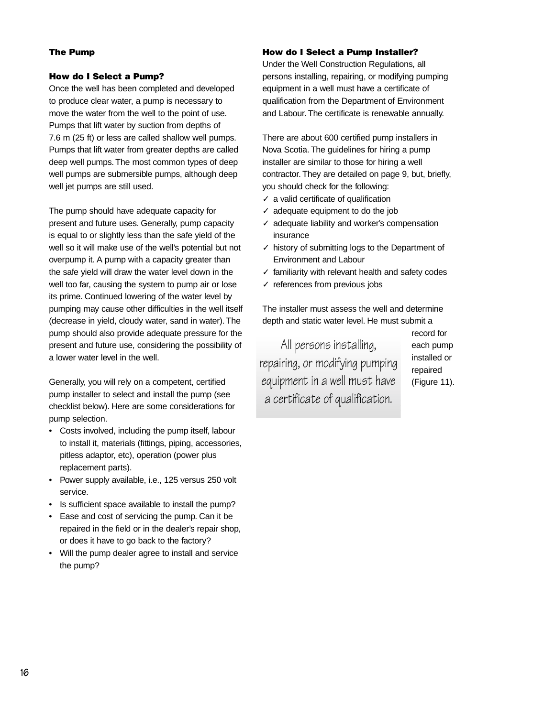#### **The Pump**

#### **How do I Select a Pump?**

Once the well has been completed and developed to produce clear water, a pump is necessary to move the water from the well to the point of use. Pumps that lift water by suction from depths of 7.6 m (25 ft) or less are called shallow well pumps. Pumps that lift water from greater depths are called deep well pumps. The most common types of deep well pumps are submersible pumps, although deep well jet pumps are still used.

The pump should have adequate capacity for present and future uses. Generally, pump capacity is equal to or slightly less than the safe yield of the well so it will make use of the well's potential but not overpump it. A pump with a capacity greater than the safe yield will draw the water level down in the well too far, causing the system to pump air or lose its prime. Continued lowering of the water level by pumping may cause other difficulties in the well itself (decrease in yield, cloudy water, sand in water). The pump should also provide adequate pressure for the present and future use, considering the possibility of a lower water level in the well.

Generally, you will rely on a competent, certified pump installer to select and install the pump (see checklist below). Here are some considerations for pump selection.

- Costs involved, including the pump itself, labour to install it, materials (fittings, piping, accessories, pitless adaptor, etc), operation (power plus replacement parts).
- Power supply available, i.e., 125 versus 250 volt service.
- Is sufficient space available to install the pump?
- Ease and cost of servicing the pump. Can it be repaired in the field or in the dealer's repair shop, or does it have to go back to the factory?
- Will the pump dealer agree to install and service the pump?

#### **How do I Select a Pump Installer?**

Under the Well Construction Regulations, all persons installing, repairing, or modifying pumping equipment in a well must have a certificate of qualification from the Department of Environment and Labour. The certificate is renewable annually.

There are about 600 certified pump installers in Nova Scotia. The guidelines for hiring a pump installer are similar to those for hiring a well contractor. They are detailed on page 9, but, briefly, you should check for the following:

- ✓ a valid certificate of qualification
- $\checkmark$  adequate equipment to do the job
- ✓ adequate liability and worker's compensation insurance
- ✓ history of submitting logs to the Department of Environment and Labour
- ✓ familiarity with relevant health and safety codes
- ✓ references from previous jobs

The installer must assess the well and determine depth and static water level. He must submit a

All persons installing, repairing, or modifying pumping equipment in a well must have a certificate of qualification.

record for each pump installed or repaired (Figure 11).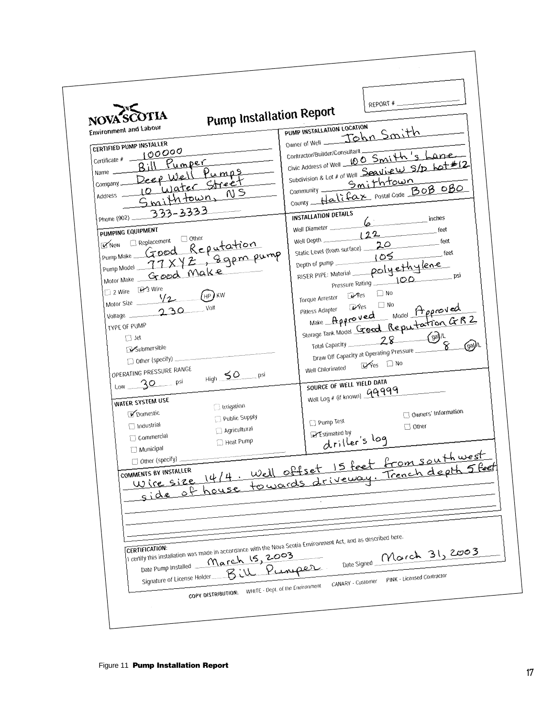| <b>Pump Installation Report</b><br>NOVA <sup>SC</sup><br><b>Environment and Labour</b><br>CERTIFIED PUMP INSTALLER<br>100000<br>Certificate # -<br>Bill Pumper<br>Deep Well Pumps<br>Name -<br>10 Water Street<br>Company —<br>Smithtown, NS<br>Address<br>Phone (902) 333-3333<br>PUMPING EQUIPMENT<br>Pump Make Good Reputation<br>Pump Model 77 X Y Z , 8 gpm pump<br>Moder Make Good Make<br>2 Wire 23 Wire<br>$(HP)$ KW<br>Motor Size V2<br>Volt<br>$Volume$ 230<br>TYPE OF PUMP<br>$\Box$ Jet<br>Submersible<br>Other (specify)<br>OPERATING PRESSURE RANGE<br>$High$ $SO$ psi<br>$Low$ 30 $psi$<br>WATER SYSTEM USE<br>[ Irrigation<br>Domestic<br>Public Supply<br>$\Box$ Industrial<br>Agricultural<br>Commercial<br>Heat Pump<br>Municipal<br>COMMENTS BY INSTALLER | REPORT #<br>PUMP INSTALLATION LOCATION<br>owner of Well _ John Smith<br>Contractor/Builder/Consultant<br>Civic Address of Well 100 Smith's<br>Lane<br>Subdivision & Lot # of Well Seavivew S/D Lot #12<br>community Smithtown<br>County Halifax postal Code BOB OBO<br>INSTALLATION DETAILS<br>Well Diameter <u>(b)</u> inches<br>feet<br>Well Depth 122<br>feet<br>Static Level (from surface) 20<br>feet<br>Depth of pump<br>RISER PIPE: Material polyethylene<br>psi<br>$V$ es<br><b>Torque Arrester</b><br>Make Approved Model Approved<br>Storage Tank Model Grood Reputation Gr R 2<br>Total Capacity 28 (ga)/L<br>Total Capacity 28<br>$\sqrt{2a}$<br>Draw Off Capacity at Operating Pressure<br>$\forall$ es $\Box$ No<br>Well Chlorinated<br>SOURCE OF WELL YIELD DATA<br>Well Log # (if known) 99999<br>Owners' Information<br>Pump Test<br>$\Box$ Other<br>Estimated by<br>driller's log<br>MMENIS BY INSIALLER<br>Wire size 14/4. Well offset 15 feet from southwest<br>$5$ feet!<br>side of house towards driveway. Trench depth |
|-------------------------------------------------------------------------------------------------------------------------------------------------------------------------------------------------------------------------------------------------------------------------------------------------------------------------------------------------------------------------------------------------------------------------------------------------------------------------------------------------------------------------------------------------------------------------------------------------------------------------------------------------------------------------------------------------------------------------------------------------------------------------------|-----------------------------------------------------------------------------------------------------------------------------------------------------------------------------------------------------------------------------------------------------------------------------------------------------------------------------------------------------------------------------------------------------------------------------------------------------------------------------------------------------------------------------------------------------------------------------------------------------------------------------------------------------------------------------------------------------------------------------------------------------------------------------------------------------------------------------------------------------------------------------------------------------------------------------------------------------------------------------------------------------------------------------------------------|
| I certify this installation was made in accordance with the Nova Scotia Environment Act, and as described here.<br>March 15, 2003<br>Signature of License Holder Bill Pumper<br>COPY DISTRIBUTION: WHITE - Dept. of the Environment                                                                                                                                                                                                                                                                                                                                                                                                                                                                                                                                           | Date Signed March 31, 2003<br>PINK - Licensed Contractor<br>CANARY - Customer                                                                                                                                                                                                                                                                                                                                                                                                                                                                                                                                                                                                                                                                                                                                                                                                                                                                                                                                                                 |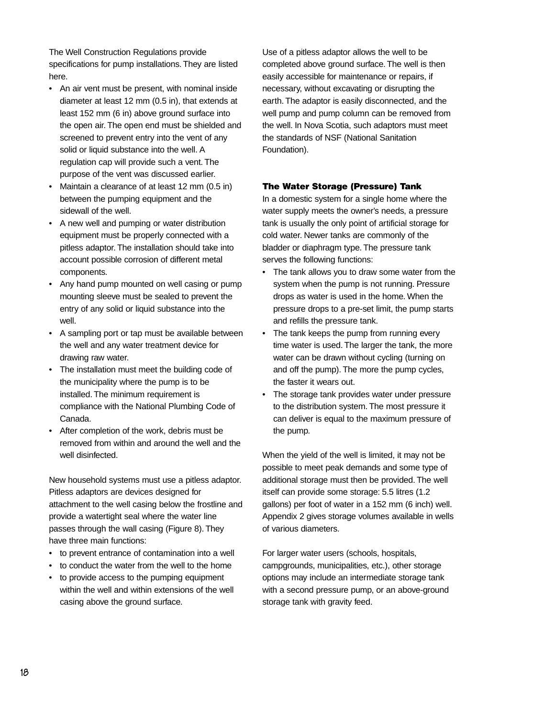The Well Construction Regulations provide specifications for pump installations. They are listed here.

- An air vent must be present, with nominal inside diameter at least 12 mm (0.5 in), that extends at least 152 mm (6 in) above ground surface into the open air. The open end must be shielded and screened to prevent entry into the vent of any solid or liquid substance into the well. A regulation cap will provide such a vent. The purpose of the vent was discussed earlier.
- Maintain a clearance of at least 12 mm (0.5 in) between the pumping equipment and the sidewall of the well.
- A new well and pumping or water distribution equipment must be properly connected with a pitless adaptor. The installation should take into account possible corrosion of different metal components.
- Any hand pump mounted on well casing or pump mounting sleeve must be sealed to prevent the entry of any solid or liquid substance into the well.
- A sampling port or tap must be available between the well and any water treatment device for drawing raw water.
- The installation must meet the building code of the municipality where the pump is to be installed. The minimum requirement is compliance with the National Plumbing Code of Canada.
- After completion of the work, debris must be removed from within and around the well and the well disinfected.

New household systems must use a pitless adaptor. Pitless adaptors are devices designed for attachment to the well casing below the frostline and provide a watertight seal where the water line passes through the wall casing (Figure 8). They have three main functions:

- to prevent entrance of contamination into a well
- to conduct the water from the well to the home
- to provide access to the pumping equipment within the well and within extensions of the well casing above the ground surface.

Use of a pitless adaptor allows the well to be completed above ground surface. The well is then easily accessible for maintenance or repairs, if necessary, without excavating or disrupting the earth. The adaptor is easily disconnected, and the well pump and pump column can be removed from the well. In Nova Scotia, such adaptors must meet the standards of NSF (National Sanitation Foundation).

#### **The Water Storage (Pressure) Tank**

In a domestic system for a single home where the water supply meets the owner's needs, a pressure tank is usually the only point of artificial storage for cold water. Newer tanks are commonly of the bladder or diaphragm type. The pressure tank serves the following functions:

- The tank allows you to draw some water from the system when the pump is not running. Pressure drops as water is used in the home. When the pressure drops to a pre-set limit, the pump starts and refills the pressure tank.
- The tank keeps the pump from running every time water is used. The larger the tank, the more water can be drawn without cycling (turning on and off the pump). The more the pump cycles, the faster it wears out.
- The storage tank provides water under pressure to the distribution system. The most pressure it can deliver is equal to the maximum pressure of the pump.

When the yield of the well is limited, it may not be possible to meet peak demands and some type of additional storage must then be provided. The well itself can provide some storage: 5.5 litres (1.2 gallons) per foot of water in a 152 mm (6 inch) well. Appendix 2 gives storage volumes available in wells of various diameters.

For larger water users (schools, hospitals, campgrounds, municipalities, etc.), other storage options may include an intermediate storage tank with a second pressure pump, or an above-ground storage tank with gravity feed.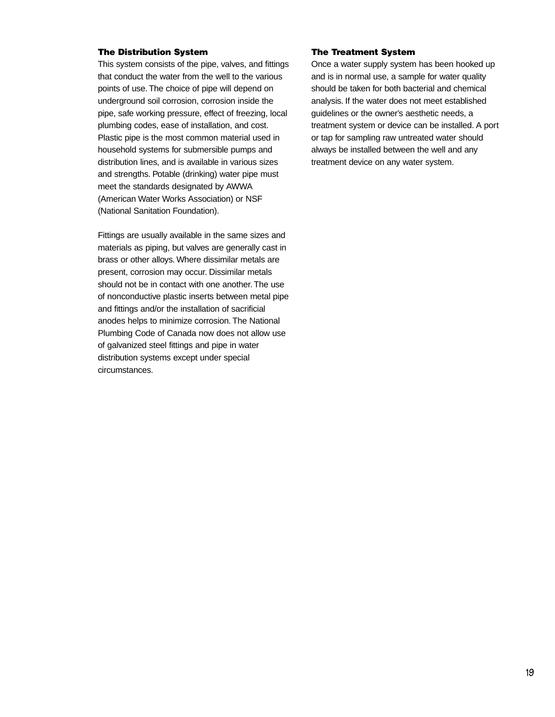#### **The Distribution System**

This system consists of the pipe, valves, and fittings that conduct the water from the well to the various points of use. The choice of pipe will depend on underground soil corrosion, corrosion inside the pipe, safe working pressure, effect of freezing, local plumbing codes, ease of installation, and cost. Plastic pipe is the most common material used in household systems for submersible pumps and distribution lines, and is available in various sizes and strengths. Potable (drinking) water pipe must meet the standards designated by AWWA (American Water Works Association) or NSF (National Sanitation Foundation).

Fittings are usually available in the same sizes and materials as piping, but valves are generally cast in brass or other alloys. Where dissimilar metals are present, corrosion may occur. Dissimilar metals should not be in contact with one another. The use of nonconductive plastic inserts between metal pipe and fittings and/or the installation of sacrificial anodes helps to minimize corrosion. The National Plumbing Code of Canada now does not allow use of galvanized steel fittings and pipe in water distribution systems except under special circumstances.

#### **The Treatment System**

Once a water supply system has been hooked up and is in normal use, a sample for water quality should be taken for both bacterial and chemical analysis. If the water does not meet established guidelines or the owner's aesthetic needs, a treatment system or device can be installed. A port or tap for sampling raw untreated water should always be installed between the well and any treatment device on any water system.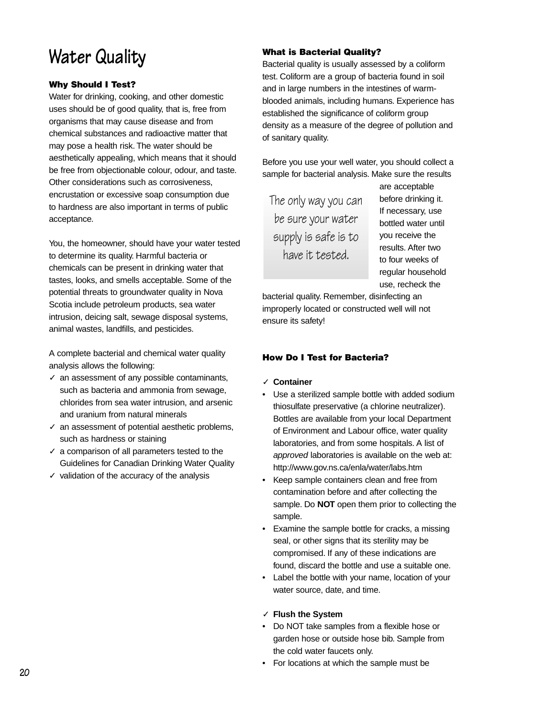# **Water Quality**

### **Why Should I Test?**

Water for drinking, cooking, and other domestic uses should be of good quality, that is, free from organisms that may cause disease and from chemical substances and radioactive matter that may pose a health risk. The water should be aesthetically appealing, which means that it should be free from objectionable colour, odour, and taste. Other considerations such as corrosiveness, encrustation or excessive soap consumption due to hardness are also important in terms of public acceptance.

You, the homeowner, should have your water tested to determine its quality. Harmful bacteria or chemicals can be present in drinking water that tastes, looks, and smells acceptable. Some of the potential threats to groundwater quality in Nova Scotia include petroleum products, sea water intrusion, deicing salt, sewage disposal systems, animal wastes, landfills, and pesticides.

A complete bacterial and chemical water quality analysis allows the following:

- ✓ an assessment of any possible contaminants, such as bacteria and ammonia from sewage, chlorides from sea water intrusion, and arsenic and uranium from natural minerals
- $\checkmark$  an assessment of potential aesthetic problems, such as hardness or staining
- $\sqrt{\ }$  a comparison of all parameters tested to the Guidelines for Canadian Drinking Water Quality
- $\checkmark$  validation of the accuracy of the analysis

### **What is Bacterial Quality?**

Bacterial quality is usually assessed by a coliform test. Coliform are a group of bacteria found in soil and in large numbers in the intestines of warmblooded animals, including humans. Experience has established the significance of coliform group density as a measure of the degree of pollution and of sanitary quality.

Before you use your well water, you should collect a sample for bacterial analysis. Make sure the results

The only way you can be sure your water supply is safe is to have it tested.

are acceptable before drinking it. If necessary, use bottled water until you receive the results. After two to four weeks of regular household use, recheck the

bacterial quality. Remember, disinfecting an improperly located or constructed well will not ensure its safety!

### **How Do I Test for Bacteria?**

#### ✓ **Container**

- Use a sterilized sample bottle with added sodium thiosulfate preservative (a chlorine neutralizer). Bottles are available from your local Department of Environment and Labour office, water quality laboratories, and from some hospitals. A list of approved laboratories is available on the web at: <http://www.gov.ns.ca/enla/water/labs.htm>
- Keep sample containers clean and free from contamination before and after collecting the sample. Do **NOT** open them prior to collecting the sample.
- Examine the sample bottle for cracks, a missing seal, or other signs that its sterility may be compromised. If any of these indications are found, discard the bottle and use a suitable one.
- Label the bottle with your name, location of your water source, date, and time.

#### ✓ **Flush the System**

- Do NOT take samples from a flexible hose or garden hose or outside hose bib. Sample from the cold water faucets only.
- For locations at which the sample must be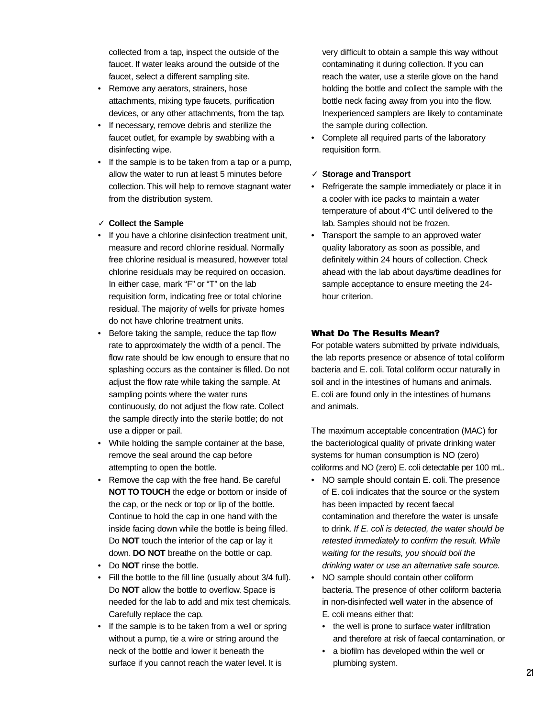collected from a tap, inspect the outside of the faucet. If water leaks around the outside of the faucet, select a different sampling site.

- Remove any aerators, strainers, hose attachments, mixing type faucets, purification devices, or any other attachments, from the tap.
- If necessary, remove debris and sterilize the faucet outlet, for example by swabbing with a disinfecting wipe.
- If the sample is to be taken from a tap or a pump, allow the water to run at least 5 minutes before collection. This will help to remove stagnant water from the distribution system.

#### ✓ **Collect the Sample**

- If you have a chlorine disinfection treatment unit, measure and record chlorine residual. Normally free chlorine residual is measured, however total chlorine residuals may be required on occasion. In either case, mark "F" or "T" on the lab requisition form, indicating free or total chlorine residual. The majority of wells for private homes do not have chlorine treatment units.
- Before taking the sample, reduce the tap flow rate to approximately the width of a pencil. The flow rate should be low enough to ensure that no splashing occurs as the container is filled. Do not adjust the flow rate while taking the sample. At sampling points where the water runs continuously, do not adjust the flow rate. Collect the sample directly into the sterile bottle; do not use a dipper or pail.
- While holding the sample container at the base, remove the seal around the cap before attempting to open the bottle.
- Remove the cap with the free hand. Be careful **NOT TO TOUCH** the edge or bottom or inside of the cap, or the neck or top or lip of the bottle. Continue to hold the cap in one hand with the inside facing down while the bottle is being filled. Do **NOT** touch the interior of the cap or lay it down. **DO NOT** breathe on the bottle or cap.
- Do **NOT** rinse the bottle.
- Fill the bottle to the fill line (usually about 3/4 full). Do **NOT** allow the bottle to overflow. Space is needed for the lab to add and mix test chemicals. Carefully replace the cap.
- If the sample is to be taken from a well or spring without a pump, tie a wire or string around the neck of the bottle and lower it beneath the surface if you cannot reach the water level. It is

very difficult to obtain a sample this way without contaminating it during collection. If you can reach the water, use a sterile glove on the hand holding the bottle and collect the sample with the bottle neck facing away from you into the flow. Inexperienced samplers are likely to contaminate the sample during collection.

• Complete all required parts of the laboratory requisition form.

#### ✓ **Storage and Transport**

- Refrigerate the sample immediately or place it in a cooler with ice packs to maintain a water temperature of about 4°C until delivered to the lab. Samples should not be frozen.
- Transport the sample to an approved water quality laboratory as soon as possible, and definitely within 24 hours of collection. Check ahead with the lab about days/time deadlines for sample acceptance to ensure meeting the 24 hour criterion.

#### **What Do The Results Mean?**

For potable waters submitted by private individuals, the lab reports presence or absence of total coliform bacteria and E. coli. Total coliform occur naturally in soil and in the intestines of humans and animals. E. coli are found only in the intestines of humans and animals.

The maximum acceptable concentration (MAC) for the bacteriological quality of private drinking water systems for human consumption is NO (zero) coliforms and NO (zero) E. coli detectable per 100 mL.

- NO sample should contain E. coli. The presence of E. coli indicates that the source or the system has been impacted by recent faecal contamination and therefore the water is unsafe to drink. If E. coli is detected, the water should be retested immediately to confirm the result. While waiting for the results, you should boil the drinking water or use an alternative safe source.
- NO sample should contain other coliform bacteria. The presence of other coliform bacteria in non-disinfected well water in the absence of E. coli means either that:
	- the well is prone to surface water infiltration and therefore at risk of faecal contamination, or
	- a biofilm has developed within the well or plumbing system.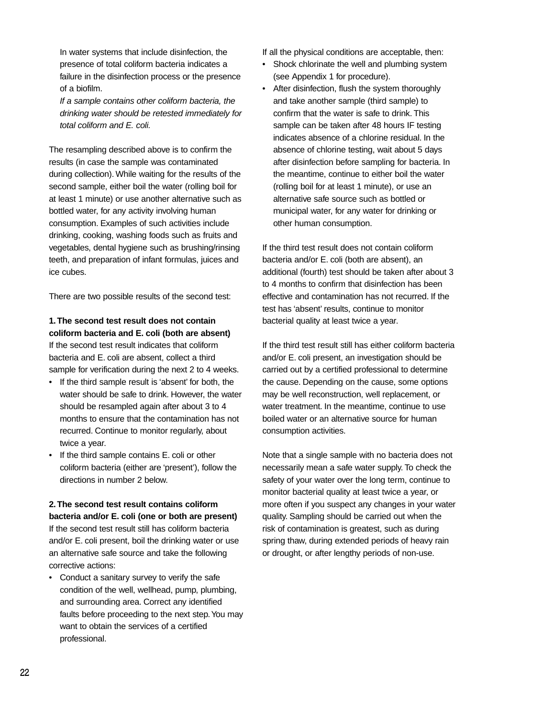In water systems that include disinfection, the presence of total coliform bacteria indicates a failure in the disinfection process or the presence of a biofilm.

If a sample contains other coliform bacteria, the drinking water should be retested immediately for total coliform and E. coli.

The resampling described above is to confirm the results (in case the sample was contaminated during collection). While waiting for the results of the second sample, either boil the water (rolling boil for at least 1 minute) or use another alternative such as bottled water, for any activity involving human consumption. Examples of such activities include drinking, cooking, washing foods such as fruits and vegetables, dental hygiene such as brushing/rinsing teeth, and preparation of infant formulas, juices and ice cubes.

There are two possible results of the second test:

### **1.The second test result does not contain coliform bacteria and E. coli (both are absent)** If the second test result indicates that coliform bacteria and E. coli are absent, collect a third sample for verification during the next 2 to 4 weeks.

- If the third sample result is 'absent' for both, the water should be safe to drink. However, the water should be resampled again after about 3 to 4 months to ensure that the contamination has not recurred. Continue to monitor regularly, about twice a year.
- If the third sample contains E. coli or other coliform bacteria (either are 'present'), follow the directions in number 2 below.

### **2.The second test result contains coliform bacteria and/or E. coli (one or both are present)**

If the second test result still has coliform bacteria and/or E. coli present, boil the drinking water or use an alternative safe source and take the following corrective actions:

• Conduct a sanitary survey to verify the safe condition of the well, wellhead, pump, plumbing, and surrounding area. Correct any identified faults before proceeding to the next step.You may want to obtain the services of a certified professional.

If all the physical conditions are acceptable, then:

- Shock chlorinate the well and plumbing system (see Appendix 1 for procedure).
- After disinfection, flush the system thoroughly and take another sample (third sample) to confirm that the water is safe to drink. This sample can be taken after 48 hours IF testing indicates absence of a chlorine residual. In the absence of chlorine testing, wait about 5 days after disinfection before sampling for bacteria. In the meantime, continue to either boil the water (rolling boil for at least 1 minute), or use an alternative safe source such as bottled or municipal water, for any water for drinking or other human consumption.

If the third test result does not contain coliform bacteria and/or E. coli (both are absent), an additional (fourth) test should be taken after about 3 to 4 months to confirm that disinfection has been effective and contamination has not recurred. If the test has 'absent' results, continue to monitor bacterial quality at least twice a year.

If the third test result still has either coliform bacteria and/or E. coli present, an investigation should be carried out by a certified professional to determine the cause. Depending on the cause, some options may be well reconstruction, well replacement, or water treatment. In the meantime, continue to use boiled water or an alternative source for human consumption activities.

Note that a single sample with no bacteria does not necessarily mean a safe water supply. To check the safety of your water over the long term, continue to monitor bacterial quality at least twice a year, or more often if you suspect any changes in your water quality. Sampling should be carried out when the risk of contamination is greatest, such as during spring thaw, during extended periods of heavy rain or drought, or after lengthy periods of non-use.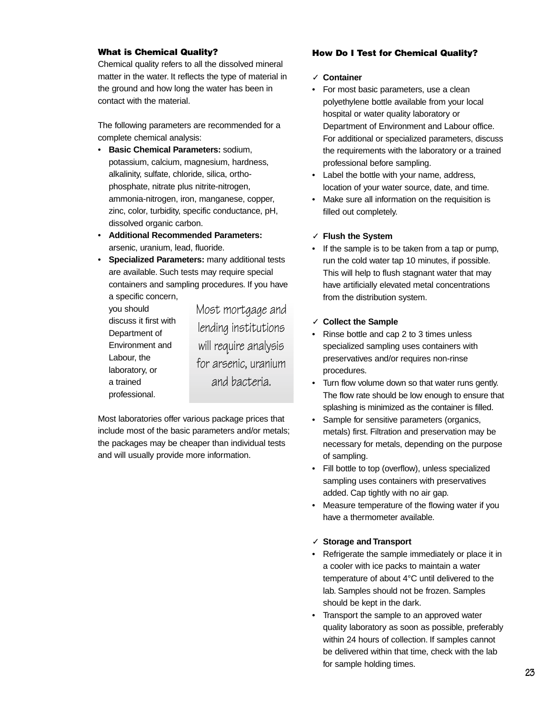#### **What is Chemical Quality?**

Chemical quality refers to all the dissolved mineral matter in the water. It reflects the type of material in the ground and how long the water has been in contact with the material.

The following parameters are recommended for a complete chemical analysis:

- **Basic Chemical Parameters:** sodium, potassium, calcium, magnesium, hardness, alkalinity, sulfate, chloride, silica, orthophosphate, nitrate plus nitrite-nitrogen, ammonia-nitrogen, iron, manganese, copper, zinc, color, turbidity, specific conductance, pH, dissolved organic carbon.
- **Additional Recommended Parameters:** arsenic, uranium, lead, fluoride.
- **Specialized Parameters:** many additional tests are available. Such tests may require special containers and sampling procedures. If you have a specific concern,

you should discuss it first with Department of Environment and Labour, the laboratory, or a trained professional.

Most mortgage and lending institutions will require analysis for arsenic, uranium and bacteria.

Most laboratories offer various package prices that include most of the basic parameters and/or metals; the packages may be cheaper than individual tests and will usually provide more information.

#### **How Do I Test for Chemical Quality?**

#### ✓ **Container**

- For most basic parameters, use a clean polyethylene bottle available from your local hospital or water quality laboratory or Department of Environment and Labour office. For additional or specialized parameters, discuss the requirements with the laboratory or a trained professional before sampling.
- Label the bottle with your name, address, location of your water source, date, and time.
- Make sure all information on the requisition is filled out completely.

#### ✓ **Flush the System**

If the sample is to be taken from a tap or pump, run the cold water tap 10 minutes, if possible. This will help to flush stagnant water that may have artificially elevated metal concentrations from the distribution system.

#### ✓ **Collect the Sample**

- Rinse bottle and cap 2 to 3 times unless specialized sampling uses containers with preservatives and/or requires non-rinse procedures.
- Turn flow volume down so that water runs gently. The flow rate should be low enough to ensure that splashing is minimized as the container is filled.
- Sample for sensitive parameters (organics, metals) first. Filtration and preservation may be necessary for metals, depending on the purpose of sampling.
- Fill bottle to top (overflow), unless specialized sampling uses containers with preservatives added. Cap tightly with no air gap.
- Measure temperature of the flowing water if you have a thermometer available.

#### ✓ **Storage and Transport**

- Refrigerate the sample immediately or place it in a cooler with ice packs to maintain a water temperature of about 4°C until delivered to the lab. Samples should not be frozen. Samples should be kept in the dark.
- Transport the sample to an approved water quality laboratory as soon as possible, preferably within 24 hours of collection. If samples cannot be delivered within that time, check with the lab for sample holding times.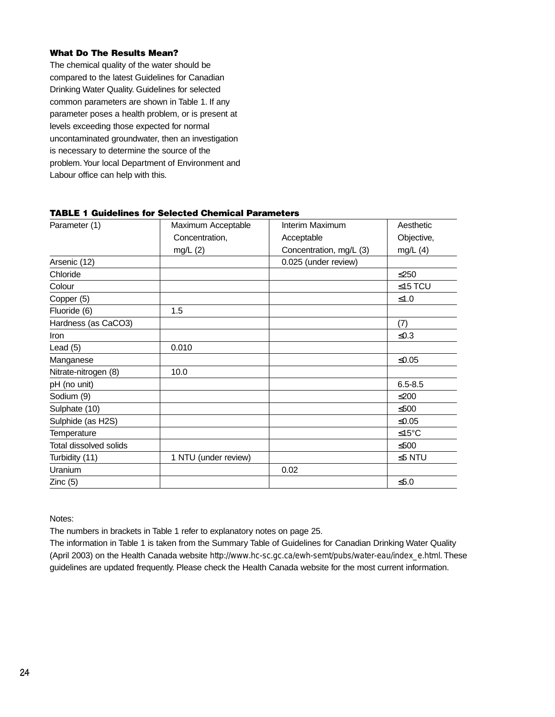#### **What Do The Results Mean?**

The chemical quality of the water should be compared to the latest Guidelines for Canadian Drinking Water Quality. Guidelines for selected common parameters are shown in Table 1. If any parameter poses a health problem, or is present at levels exceeding those expected for normal uncontaminated groundwater, then an investigation is necessary to determine the source of the problem.Your local Department of Environment and Labour office can help with this.

| Parameter (1)          | Maximum Acceptable   | Interim Maximum         | Aesthetic    |
|------------------------|----------------------|-------------------------|--------------|
|                        | Concentration,       | Acceptable              | Objective,   |
|                        | mg/L $(2)$           | Concentration, mg/L (3) | mg/L $(4)$   |
| Arsenic (12)           |                      | 0.025 (under review)    |              |
| Chloride               |                      |                         | $≤250$       |
| Colour                 |                      |                         | $≤15$ TCU    |
| Copper (5)             |                      |                         | $≤1.0$       |
| Fluoride (6)           | 1.5                  |                         |              |
| Hardness (as CaCO3)    |                      |                         | (7)          |
| <b>Iron</b>            |                      |                         | $≤0.3$       |
| Lead $(5)$             | 0.010                |                         |              |
| Manganese              |                      |                         | $≤0.05$      |
| Nitrate-nitrogen (8)   | 10.0                 |                         |              |
| pH (no unit)           |                      |                         | $6.5 - 8.5$  |
| Sodium (9)             |                      |                         | $≤200$       |
| Sulphate (10)          |                      |                         | ≤500         |
| Sulphide (as H2S)      |                      |                         | $≤0.05$      |
| Temperature            |                      |                         | ≤15°C        |
| Total dissolved solids |                      |                         | ≤500         |
| Turbidity (11)         | 1 NTU (under review) |                         | $\leq$ 5 NTU |
| Uranium                |                      | 0.02                    |              |
| Zinc(5)                |                      |                         | $≤5.0$       |

#### **TABLE 1 Guidelines for Selected Chemical Parameters**

Notes:

The numbers in brackets in Table 1 refer to explanatory notes on page 25.

The information in Table 1 is taken from the Summary Table of Guidelines for Canadian Drinking Water Quality (April 2003) on the Health Canada website [http://www.hc-sc.gc.ca/ewh-semt/pubs/water-eau/index\\_e.html](http://www.hc-sc.gc.ca/ewh-semt/pubs/water-eau/index_e.html). These guidelines are updated frequently. Please check the Health Canada website for the most current information.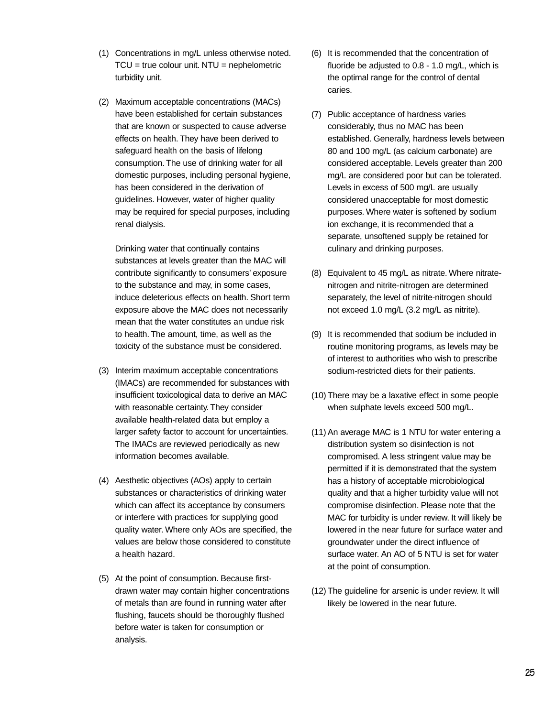- (1) Concentrations in mg/L unless otherwise noted.  $TCU = true$  colour unit.  $NTU = nephelometric$ turbidity unit.
- (2) Maximum acceptable concentrations (MACs) have been established for certain substances that are known or suspected to cause adverse effects on health. They have been derived to safeguard health on the basis of lifelong consumption. The use of drinking water for all domestic purposes, including personal hygiene, has been considered in the derivation of guidelines. However, water of higher quality may be required for special purposes, including renal dialysis.

Drinking water that continually contains substances at levels greater than the MAC will contribute significantly to consumers' exposure to the substance and may, in some cases, induce deleterious effects on health. Short term exposure above the MAC does not necessarily mean that the water constitutes an undue risk to health. The amount, time, as well as the toxicity of the substance must be considered.

- (3) Interim maximum acceptable concentrations (IMACs) are recommended for substances with insufficient toxicological data to derive an MAC with reasonable certainty. They consider available health-related data but employ a larger safety factor to account for uncertainties. The IMACs are reviewed periodically as new information becomes available.
- (4) Aesthetic objectives (AOs) apply to certain substances or characteristics of drinking water which can affect its acceptance by consumers or interfere with practices for supplying good quality water. Where only AOs are specified, the values are below those considered to constitute a health hazard.
- (5) At the point of consumption. Because firstdrawn water may contain higher concentrations of metals than are found in running water after flushing, faucets should be thoroughly flushed before water is taken for consumption or analysis.
- (6) It is recommended that the concentration of fluoride be adjusted to 0.8 - 1.0 mg/L, which is the optimal range for the control of dental caries.
- (7) Public acceptance of hardness varies considerably, thus no MAC has been established. Generally, hardness levels between 80 and 100 mg/L (as calcium carbonate) are considered acceptable. Levels greater than 200 mg/L are considered poor but can be tolerated. Levels in excess of 500 mg/L are usually considered unacceptable for most domestic purposes. Where water is softened by sodium ion exchange, it is recommended that a separate, unsoftened supply be retained for culinary and drinking purposes.
- (8) Equivalent to 45 mg/L as nitrate. Where nitratenitrogen and nitrite-nitrogen are determined separately, the level of nitrite-nitrogen should not exceed 1.0 mg/L (3.2 mg/L as nitrite).
- (9) It is recommended that sodium be included in routine monitoring programs, as levels may be of interest to authorities who wish to prescribe sodium-restricted diets for their patients.
- (10) There may be a laxative effect in some people when sulphate levels exceed 500 mg/L.
- (11) An average MAC is 1 NTU for water entering a distribution system so disinfection is not compromised. A less stringent value may be permitted if it is demonstrated that the system has a history of acceptable microbiological quality and that a higher turbidity value will not compromise disinfection. Please note that the MAC for turbidity is under review. It will likely be lowered in the near future for surface water and groundwater under the direct influence of surface water. An AO of 5 NTU is set for water at the point of consumption.
- (12) The guideline for arsenic is under review. It will likely be lowered in the near future.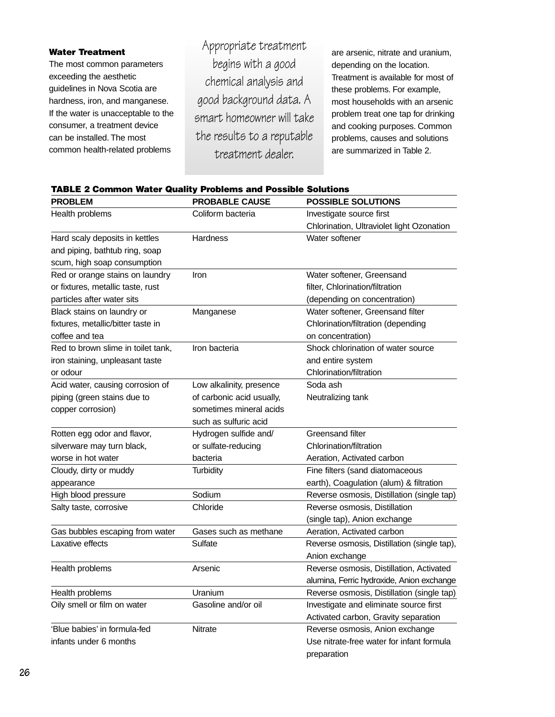#### **Water Treatment**

The most common parameters exceeding the aesthetic guidelines in Nova Scotia are hardness, iron, and manganese. If the water is unacceptable to the consumer, a treatment device can be installed. The most common health-related problems

Appropriate treatment begins with a good chemical analysis and good background data. A smart homeowner will take the results to a reputable treatment dealer.

are arsenic, nitrate and uranium, depending on the location. Treatment is available for most of these problems. For example, most households with an arsenic problem treat one tap for drinking and cooking purposes. Common problems, causes and solutions are summarized in Table 2.

#### **TABLE 2 Common Water Quality Problems and Possible Solutions**

| <b>PROBLEM</b>                     | <b>PROBABLE CAUSE</b>     | <b>POSSIBLE SOLUTIONS</b>                   |
|------------------------------------|---------------------------|---------------------------------------------|
| Health problems                    | Coliform bacteria         | Investigate source first                    |
|                                    |                           | Chlorination, Ultraviolet light Ozonation   |
| Hard scaly deposits in kettles     | Hardness                  | Water softener                              |
| and piping, bathtub ring, soap     |                           |                                             |
| scum, high soap consumption        |                           |                                             |
| Red or orange stains on laundry    | Iron                      | Water softener, Greensand                   |
| or fixtures, metallic taste, rust  |                           | filter, Chlorination/filtration             |
| particles after water sits         |                           | (depending on concentration)                |
| Black stains on laundry or         | Manganese                 | Water softener, Greensand filter            |
| fixtures, metallic/bitter taste in |                           | Chlorination/filtration (depending          |
| coffee and tea                     |                           | on concentration)                           |
| Red to brown slime in toilet tank, | Iron bacteria             | Shock chlorination of water source          |
| iron staining, unpleasant taste    |                           | and entire system                           |
| or odour                           |                           | Chlorination/filtration                     |
| Acid water, causing corrosion of   | Low alkalinity, presence  | Soda ash                                    |
| piping (green stains due to        | of carbonic acid usually, | Neutralizing tank                           |
| copper corrosion)                  | sometimes mineral acids   |                                             |
|                                    | such as sulfuric acid     |                                             |
| Rotten egg odor and flavor,        | Hydrogen sulfide and/     | Greensand filter                            |
| silverware may turn black,         | or sulfate-reducing       | Chlorination/filtration                     |
| worse in hot water                 | bacteria                  | Aeration, Activated carbon                  |
| Cloudy, dirty or muddy             | <b>Turbidity</b>          | Fine filters (sand diatomaceous             |
| appearance                         |                           | earth), Coagulation (alum) & filtration     |
| High blood pressure                | Sodium                    | Reverse osmosis, Distillation (single tap)  |
| Salty taste, corrosive             | Chloride                  | Reverse osmosis, Distillation               |
|                                    |                           | (single tap), Anion exchange                |
| Gas bubbles escaping from water    | Gases such as methane     | Aeration, Activated carbon                  |
| Laxative effects                   | Sulfate                   | Reverse osmosis, Distillation (single tap), |
|                                    |                           | Anion exchange                              |
| Health problems                    | Arsenic                   | Reverse osmosis, Distillation, Activated    |
|                                    |                           | alumina, Ferric hydroxide, Anion exchange   |
| Health problems                    | Uranium                   | Reverse osmosis, Distillation (single tap)  |
| Oily smell or film on water        | Gasoline and/or oil       | Investigate and eliminate source first      |
|                                    |                           | Activated carbon, Gravity separation        |
| 'Blue babies' in formula-fed       | Nitrate                   | Reverse osmosis, Anion exchange             |
| infants under 6 months             |                           | Use nitrate-free water for infant formula   |
|                                    |                           | preparation                                 |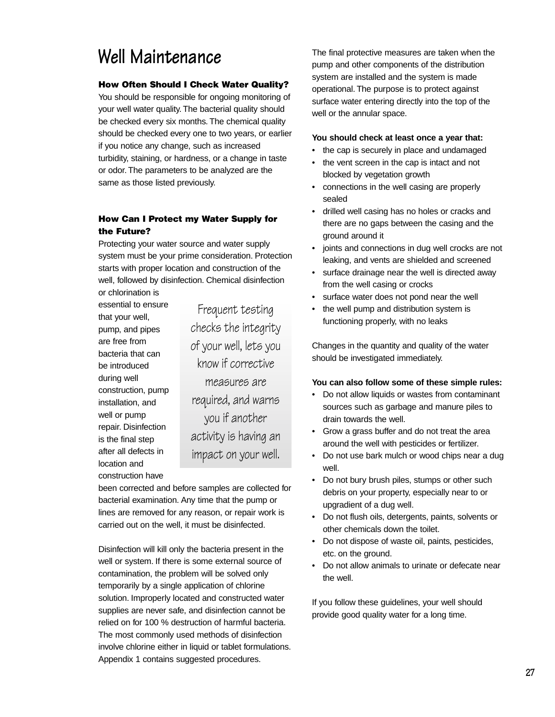# **Well Maintenance**

#### **How Often Should I Check Water Quality?**

You should be responsible for ongoing monitoring of your well water quality. The bacterial quality should be checked every six months. The chemical quality should be checked every one to two years, or earlier if you notice any change, such as increased turbidity, staining, or hardness, or a change in taste or odor. The parameters to be analyzed are the same as those listed previously.

### **How Can I Protect my Water Supply for the Future?**

Protecting your water source and water supply system must be your prime consideration. Protection starts with proper location and construction of the well, followed by disinfection. Chemical disinfection or chlorination is

essential to ensure that your well, pump, and pipes are free from bacteria that can be introduced during well construction, pump installation, and well or pump repair. Disinfection is the final step after all defects in location and construction have

Frequent testing checks the integrity of your well, lets you know if corrective measures are required, and warns you if another activity is having an impact on your well.

been corrected and before samples are collected for bacterial examination. Any time that the pump or lines are removed for any reason, or repair work is carried out on the well, it must be disinfected.

Disinfection will kill only the bacteria present in the well or system. If there is some external source of contamination, the problem will be solved only temporarily by a single application of chlorine solution. Improperly located and constructed water supplies are never safe, and disinfection cannot be relied on for 100 % destruction of harmful bacteria. The most commonly used methods of disinfection involve chlorine either in liquid or tablet formulations. Appendix 1 contains suggested procedures.

The final protective measures are taken when the pump and other components of the distribution system are installed and the system is made operational. The purpose is to protect against surface water entering directly into the top of the well or the annular space.

#### **You should check at least once a year that:**

- the cap is securely in place and undamaged
- the vent screen in the cap is intact and not blocked by vegetation growth
- connections in the well casing are properly sealed
- drilled well casing has no holes or cracks and there are no gaps between the casing and the ground around it
- joints and connections in dug well crocks are not leaking, and vents are shielded and screened
- surface drainage near the well is directed away from the well casing or crocks
- surface water does not pond near the well
- the well pump and distribution system is functioning properly, with no leaks

Changes in the quantity and quality of the water should be investigated immediately.

#### **You can also follow some of these simple rules:**

- Do not allow liquids or wastes from contaminant sources such as garbage and manure piles to drain towards the well.
- Grow a grass buffer and do not treat the area around the well with pesticides or fertilizer.
- Do not use bark mulch or wood chips near a dug well.
- Do not bury brush piles, stumps or other such debris on your property, especially near to or upgradient of a dug well.
- Do not flush oils, detergents, paints, solvents or other chemicals down the toilet.
- Do not dispose of waste oil, paints, pesticides, etc. on the ground.
- Do not allow animals to urinate or defecate near the well.

If you follow these guidelines, your well should provide good quality water for a long time.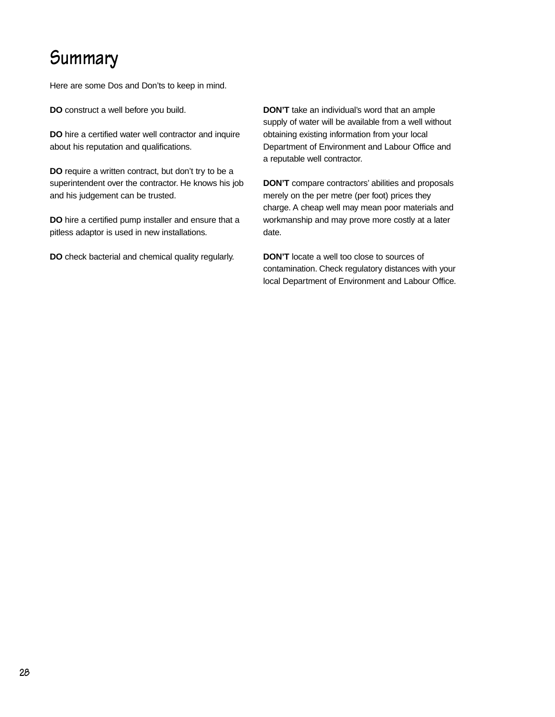# **Summary**

Here are some Dos and Don'ts to keep in mind.

**DO** construct a well before you build.

**DO** hire a certified water well contractor and inquire about his reputation and qualifications.

**DO** require a written contract, but don't try to be a superintendent over the contractor. He knows his job and his judgement can be trusted.

**DO** hire a certified pump installer and ensure that a pitless adaptor is used in new installations.

**DO** check bacterial and chemical quality regularly.

**DON'T** take an individual's word that an ample supply of water will be available from a well without obtaining existing information from your local Department of Environment and Labour Office and a reputable well contractor.

**DON'T** compare contractors' abilities and proposals merely on the per metre (per foot) prices they charge. A cheap well may mean poor materials and workmanship and may prove more costly at a later date.

**DON'T** locate a well too close to sources of contamination. Check regulatory distances with your local Department of Environment and Labour Office.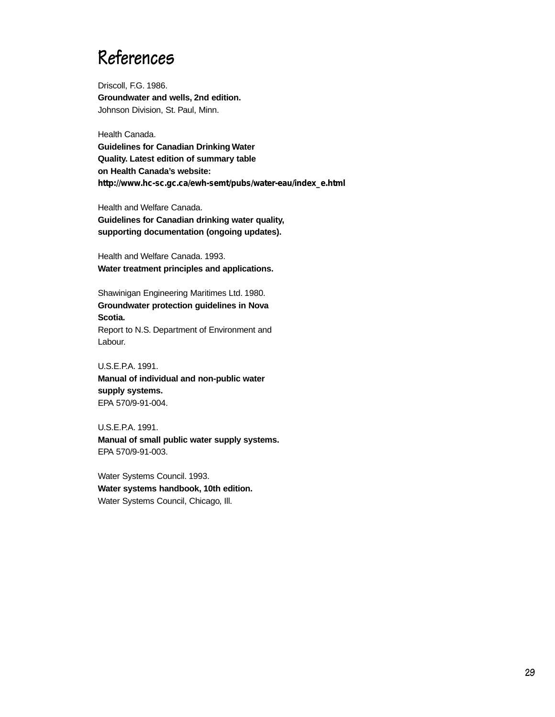### **References**

Driscoll, F.G. 1986. **Groundwater and wells, 2nd edition.** Johnson Division, St. Paul, Minn.

Health Canada.

**Guidelines for Canadian Drinking Water Quality. Latest edition of summary table on Health Canada's website: [http://www.hc-sc.gc.ca/ewh-semt/pubs/water-eau/index\\_e.html](http://www.hc-sc.gc.ca/ewh-semt/pubs/water-eau/index_e.html)** 

Health and Welfare Canada. **Guidelines for Canadian drinking water quality, supporting documentation (ongoing updates).**

Health and Welfare Canada. 1993. **Water treatment principles and applications.**

Shawinigan Engineering Maritimes Ltd. 1980. **Groundwater protection guidelines in Nova Scotia.** Report to N.S. Department of Environment and Labour.

U.S.E.P.A. 1991. **Manual of individual and non-public water supply systems.** EPA 570/9-91-004.

U.S.E.P.A. 1991. **Manual of small public water supply systems.** EPA 570/9-91-003.

Water Systems Council. 1993. **Water systems handbook, 10th edition.** Water Systems Council, Chicago, Ill.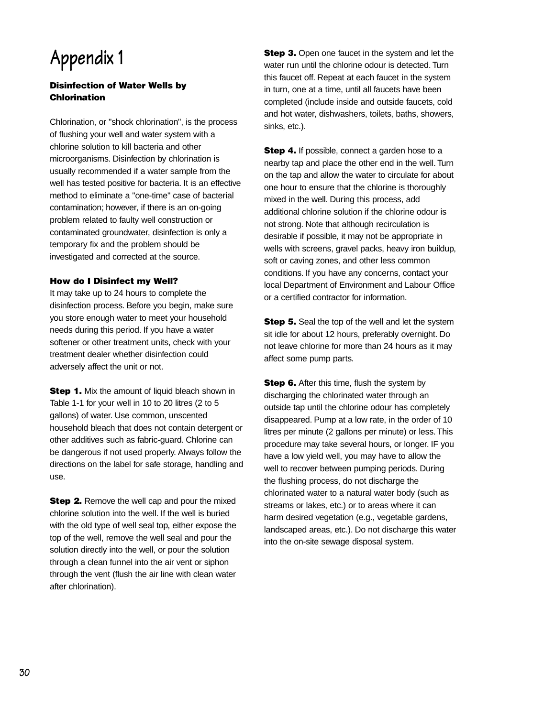# **Appendix 1**

### **Disinfection of Water Wells by Chlorination**

Chlorination, or "shock chlorination", is the process of flushing your well and water system with a chlorine solution to kill bacteria and other microorganisms. Disinfection by chlorination is usually recommended if a water sample from the well has tested positive for bacteria. It is an effective method to eliminate a "one-time" case of bacterial contamination; however, if there is an on-going problem related to faulty well construction or contaminated groundwater, disinfection is only a temporary fix and the problem should be investigated and corrected at the source.

#### **How do I Disinfect my Well?**

It may take up to 24 hours to complete the disinfection process. Before you begin, make sure you store enough water to meet your household needs during this period. If you have a water softener or other treatment units, check with your treatment dealer whether disinfection could adversely affect the unit or not.

**Step 1.** Mix the amount of liquid bleach shown in Table 1-1 for your well in 10 to 20 litres (2 to 5 gallons) of water. Use common, unscented household bleach that does not contain detergent or other additives such as fabric-guard. Chlorine can be dangerous if not used properly. Always follow the directions on the label for safe storage, handling and use.

**Step 2.** Remove the well cap and pour the mixed chlorine solution into the well. If the well is buried with the old type of well seal top, either expose the top of the well, remove the well seal and pour the solution directly into the well, or pour the solution through a clean funnel into the air vent or siphon through the vent (flush the air line with clean water after chlorination).

**Step 3.** Open one faucet in the system and let the water run until the chlorine odour is detected. Turn this faucet off. Repeat at each faucet in the system in turn, one at a time, until all faucets have been completed (include inside and outside faucets, cold and hot water, dishwashers, toilets, baths, showers, sinks, etc.).

**Step 4.** If possible, connect a garden hose to a nearby tap and place the other end in the well. Turn on the tap and allow the water to circulate for about one hour to ensure that the chlorine is thoroughly mixed in the well. During this process, add additional chlorine solution if the chlorine odour is not strong. Note that although recirculation is desirable if possible, it may not be appropriate in wells with screens, gravel packs, heavy iron buildup, soft or caving zones, and other less common conditions. If you have any concerns, contact your local Department of Environment and Labour Office or a certified contractor for information.

**Step 5.** Seal the top of the well and let the system sit idle for about 12 hours, preferably overnight. Do not leave chlorine for more than 24 hours as it may affect some pump parts.

**Step 6.** After this time, flush the system by discharging the chlorinated water through an outside tap until the chlorine odour has completely disappeared. Pump at a low rate, in the order of 10 litres per minute (2 gallons per minute) or less. This procedure may take several hours, or longer. IF you have a low yield well, you may have to allow the well to recover between pumping periods. During the flushing process, do not discharge the chlorinated water to a natural water body (such as streams or lakes, etc.) or to areas where it can harm desired vegetation (e.g., vegetable gardens, landscaped areas, etc.). Do not discharge this water into the on-site sewage disposal system.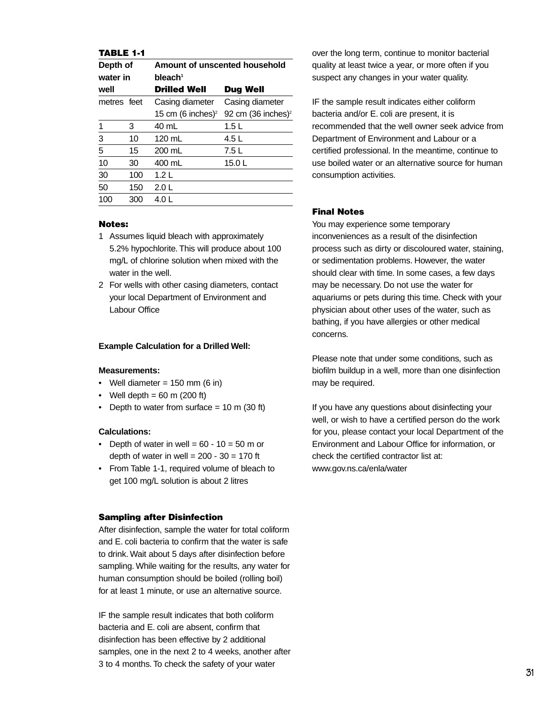#### **TABLE 1-1**

| Depth of    |     | Amount of unscented household |                                |  |
|-------------|-----|-------------------------------|--------------------------------|--|
| water in    |     | bleach <sup>1</sup>           |                                |  |
| well        |     | <b>Drilled Well</b>           | Dug Well                       |  |
| metres feet |     | Casing diameter               | Casing diameter                |  |
|             |     | 15 cm (6 inches) <sup>2</sup> | 92 cm (36 inches) <sup>2</sup> |  |
| 1           | 3   | 40 mL                         | 1.5L                           |  |
| 3           | 10  | 120 mL                        | 4.5 L                          |  |
| 5           | 15  | 200 mL                        | 7.5 L                          |  |
| 10          | 30  | 400 mL                        | 15.0L                          |  |
| 30          | 100 | 1.2 L                         |                                |  |
| 50          | 150 | 2.0 L                         |                                |  |
| 100         | 300 | 4.O L                         |                                |  |

#### **Notes:**

- 1 Assumes liquid bleach with approximately 5.2% hypochlorite. This will produce about 100 mg/L of chlorine solution when mixed with the water in the well.
- 2 For wells with other casing diameters, contact your local Department of Environment and Labour Office

#### **Example Calculation for a Drilled Well:**

#### **Measurements:**

- Well diameter =  $150$  mm (6 in)
- Well depth  $= 60$  m (200 ft)
- Depth to water from surface  $= 10$  m (30 ft)

#### **Calculations:**

- Depth of water in well =  $60 10 = 50$  m or depth of water in well =  $200 - 30 = 170$  ft
- From Table 1-1, required volume of bleach to get 100 mg/L solution is about 2 litres

#### **Sampling after Disinfection**

After disinfection, sample the water for total coliform and E. coli bacteria to confirm that the water is safe to drink. Wait about 5 days after disinfection before sampling. While waiting for the results, any water for human consumption should be boiled (rolling boil) for at least 1 minute, or use an alternative source.

IF the sample result indicates that both coliform bacteria and E. coli are absent, confirm that disinfection has been effective by 2 additional samples, one in the next 2 to 4 weeks, another after 3 to 4 months. To check the safety of your water

over the long term, continue to monitor bacterial quality at least twice a year, or more often if you suspect any changes in your water quality.

IF the sample result indicates either coliform bacteria and/or E. coli are present, it is recommended that the well owner seek advice from Department of Environment and Labour or a certified professional. In the meantime, continue to use boiled water or an alternative source for human consumption activities.

#### **Final Notes**

You may experience some temporary inconveniences as a result of the disinfection process such as dirty or discoloured water, staining, or sedimentation problems. However, the water should clear with time. In some cases, a few days may be necessary. Do not use the water for aquariums or pets during this time. Check with your physician about other uses of the water, such as bathing, if you have allergies or other medical concerns.

Please note that under some conditions, such as biofilm buildup in a well, more than one disinfection may be required.

If you have any questions about disinfecting your well, or wish to have a certified person do the work for you, please contact your local Department of the Environment and Labour Office for information, or check the certified contractor list at: [www.gov.ns.ca/enla/water](http://www.gov.ns.ca/enla/water)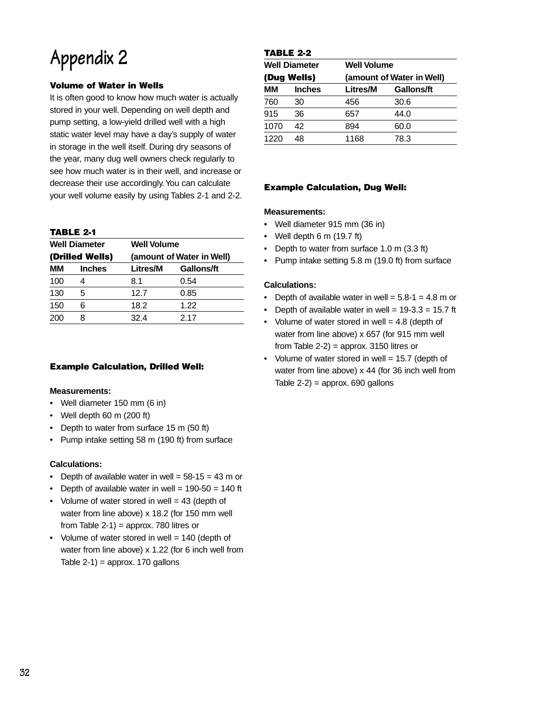# **Appendix 2**

### **Volume of Water in Wells**

It is often good to know how much water is actually stored in your well. Depending on well depth and pump setting, a low-yield drilled well with a high static water level may have a day's supply of water in storage in the well itself. During dry seasons of the year, many dug well owners check regularly to see how much water is in their well, and increase or decrease their use accordingly.You can calculate your well volume easily by using Tables 2-1 and 2-2.

#### **TABLE 2-1**

| <b>Well Diameter</b><br>(Drilled Wells) |   | <b>Well Volume</b><br>(amount of Water in Well) |      |  |
|-----------------------------------------|---|-------------------------------------------------|------|--|
|                                         |   |                                                 |      |  |
| 100                                     |   | 8.1                                             | 0.54 |  |
| 130                                     | 5 | 12.7                                            | 0.85 |  |
| 150                                     | 6 | 18.2                                            | 1.22 |  |
| 200                                     | 8 | 32.4                                            | 2.17 |  |
|                                         |   |                                                 |      |  |

#### **Example Calculation, Drilled Well:**

#### **Measurements:**

- Well diameter 150 mm (6 in)
- Well depth 60 m (200 ft)
- Depth to water from surface 15 m (50 ft)
- Pump intake setting 58 m (190 ft) from surface

#### **Calculations:**

- Depth of available water in well =  $58-15 = 43$  m or
- Depth of available water in well =  $190-50 = 140$  ft
- Volume of water stored in well  $= 43$  (depth of water from line above) x 18.2 (for 150 mm well from Table 2-1) = approx. 780 litres or
- Volume of water stored in well = 140 (depth of water from line above) x 1.22 (for 6 inch well from Table  $2-1$ ) = approx. 170 gallons

### **TABLE 2-2**

| <b>Well Diameter</b><br>(Dug Wells) |    | <b>Well Volume</b><br>(amount of Water in Well) |      |  |
|-------------------------------------|----|-------------------------------------------------|------|--|
|                                     |    |                                                 |      |  |
| 760                                 | 30 | 456                                             | 30.6 |  |
| 915                                 | 36 | 657                                             | 44.0 |  |
| 1070                                | 42 | 894                                             | 60.0 |  |
| 1220                                | 48 | 1168                                            | 78.3 |  |

#### **Example Calculation, Dug Well:**

#### **Measurements:**

- Well diameter 915 mm (36 in)
- Well depth 6 m (19.7 ft)
- Depth to water from surface 1.0 m (3.3 ft)
- Pump intake setting 5.8 m (19.0 ft) from surface

#### **Calculations:**

- Depth of available water in well =  $5.8-1 = 4.8$  m or
- Depth of available water in well =  $19-3.3 = 15.7$  ft
- Volume of water stored in well  $= 4.8$  (depth of water from line above) x 657 (for 915 mm well from Table  $2-2$ ) = approx. 3150 litres or
- Volume of water stored in well = 15.7 (depth of water from line above) x 44 (for 36 inch well from Table  $2-2$ ) = approx. 690 gallons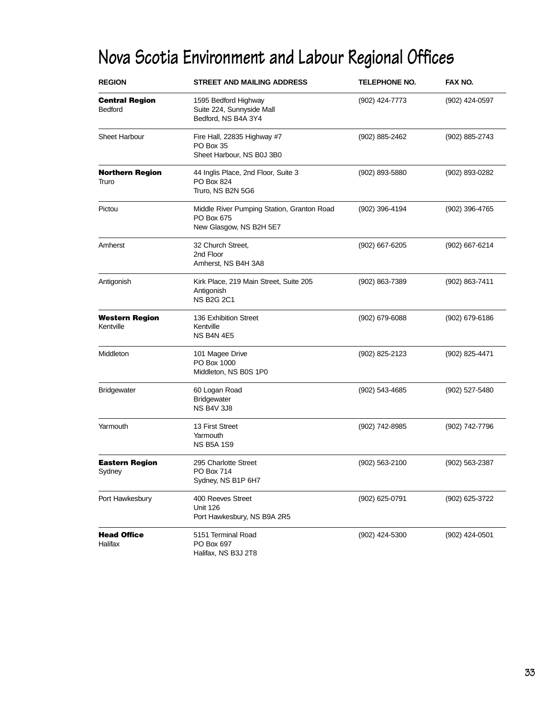# **Nova Scotia Environment and Labour Regional Offices**

| <b>REGION</b>                                                                                 | <b>STREET AND MAILING ADDRESS</b>                                                   | TELEPHONE NO.  | FAX NO.        |
|-----------------------------------------------------------------------------------------------|-------------------------------------------------------------------------------------|----------------|----------------|
| <b>Central Region</b><br>Bedford                                                              | 1595 Bedford Highway<br>Suite 224, Sunnyside Mall<br>Bedford, NS B4A 3Y4            | (902) 424-7773 | (902) 424-0597 |
| <b>Sheet Harbour</b><br>Fire Hall, 22835 Highway #7<br>PO Box 35<br>Sheet Harbour, NS B0J 3B0 |                                                                                     | (902) 885-2462 | (902) 885-2743 |
| <b>Northern Region</b><br>Truro                                                               | 44 Inglis Place, 2nd Floor, Suite 3<br>PO Box 824<br>Truro, NS B2N 5G6              | (902) 893-5880 | (902) 893-0282 |
| Pictou                                                                                        | Middle River Pumping Station, Granton Road<br>PO Box 675<br>New Glasgow, NS B2H 5E7 | (902) 396-4194 | (902) 396-4765 |
| Amherst                                                                                       | 32 Church Street,<br>2nd Floor<br>Amherst, NS B4H 3A8                               | (902) 667-6205 | (902) 667-6214 |
| Antigonish                                                                                    | Kirk Place, 219 Main Street, Suite 205<br>Antigonish<br><b>NS B2G 2C1</b>           | (902) 863-7389 | (902) 863-7411 |
| <b>Western Region</b><br>Kentville                                                            | 136 Exhibition Street<br>Kentville<br>NS B4N 4E5                                    | (902) 679-6088 | (902) 679-6186 |
| Middleton                                                                                     | 101 Magee Drive<br>PO Box 1000<br>Middleton, NS B0S 1P0                             | (902) 825-2123 | (902) 825-4471 |
| <b>Bridgewater</b>                                                                            | 60 Logan Road<br><b>Bridgewater</b><br><b>NS B4V 3J8</b>                            | (902) 543-4685 | (902) 527-5480 |
| Yarmouth                                                                                      | 13 First Street<br>Yarmouth<br><b>NS B5A 1S9</b>                                    | (902) 742-8985 | (902) 742-7796 |
| <b>Eastern Region</b><br>Sydney                                                               | 295 Charlotte Street<br>PO Box 714<br>Sydney, NS B1P 6H7                            | (902) 563-2100 | (902) 563-2387 |
| Port Hawkesbury                                                                               | 400 Reeves Street<br><b>Unit 126</b><br>Port Hawkesbury, NS B9A 2R5                 | (902) 625-0791 | (902) 625-3722 |
| <b>Head Office</b><br>Halifax                                                                 | 5151 Terminal Road<br>PO Box 697<br>Halifax, NS B3J 2T8                             | (902) 424-5300 | (902) 424-0501 |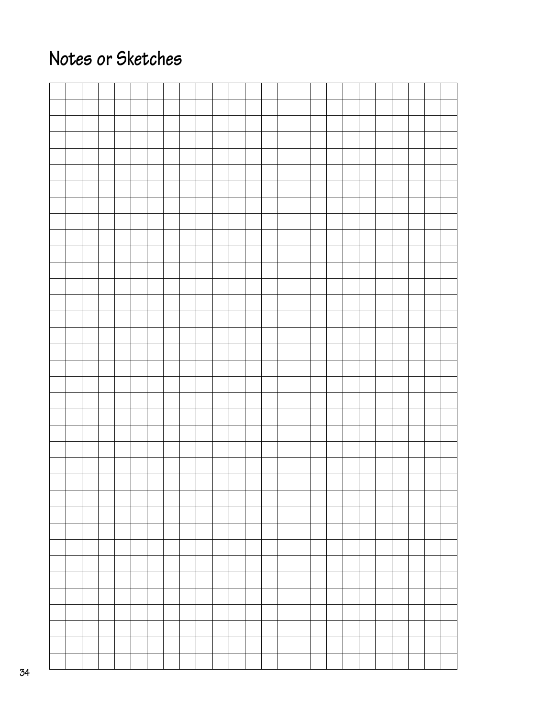# **Notes or Sketches**

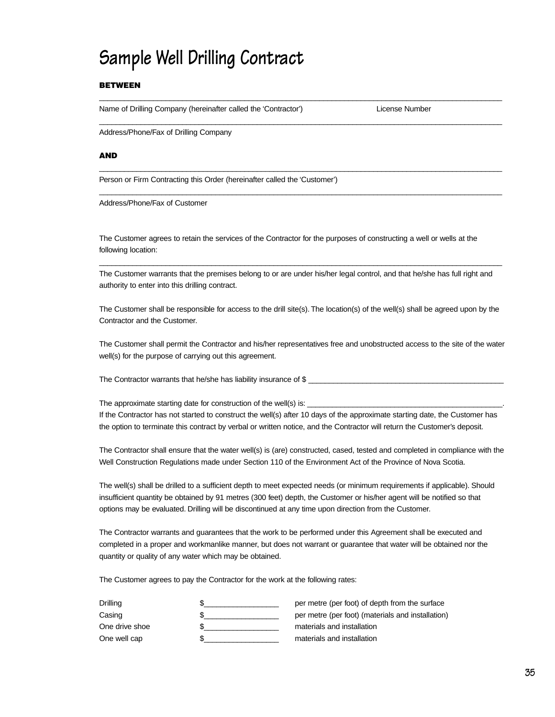# **Sample Well Drilling Contract**

#### **BETWEEN**

Name of Drilling Company (hereinafter called the 'Contractor') License Number

Address/Phone/Fax of Drilling Company

#### **AND**

Person or Firm Contracting this Order (hereinafter called the 'Customer')

Address/Phone/Fax of Customer

The Customer agrees to retain the services of the Contractor for the purposes of constructing a well or wells at the following location:

The Customer warrants that the premises belong to or are under his/her legal control, and that he/she has full right and authority to enter into this drilling contract.

 $\_$  , and the set of the set of the set of the set of the set of the set of the set of the set of the set of the set of the set of the set of the set of the set of the set of the set of the set of the set of the set of th

 $\_$  ,  $\_$  ,  $\_$  ,  $\_$  ,  $\_$  ,  $\_$  ,  $\_$  ,  $\_$  ,  $\_$  ,  $\_$  ,  $\_$  ,  $\_$  ,  $\_$  ,  $\_$  ,  $\_$  ,  $\_$  ,  $\_$  ,  $\_$  ,  $\_$  ,  $\_$  ,  $\_$  ,  $\_$  ,  $\_$  ,  $\_$  ,  $\_$  ,  $\_$  ,  $\_$  ,  $\_$  ,  $\_$  ,  $\_$  ,  $\_$  ,  $\_$  ,  $\_$  ,  $\_$  ,  $\_$  ,  $\_$  ,  $\_$  ,

 $\_$  , and the set of the set of the set of the set of the set of the set of the set of the set of the set of the set of the set of the set of the set of the set of the set of the set of the set of the set of the set of th

 $\_$  ,  $\_$  ,  $\_$  ,  $\_$  ,  $\_$  ,  $\_$  ,  $\_$  ,  $\_$  ,  $\_$  ,  $\_$  ,  $\_$  ,  $\_$  ,  $\_$  ,  $\_$  ,  $\_$  ,  $\_$  ,  $\_$  ,  $\_$  ,  $\_$  ,  $\_$  ,  $\_$  ,  $\_$  ,  $\_$  ,  $\_$  ,  $\_$  ,  $\_$  ,  $\_$  ,  $\_$  ,  $\_$  ,  $\_$  ,  $\_$  ,  $\_$  ,  $\_$  ,  $\_$  ,  $\_$  ,  $\_$  ,  $\_$  ,

 $\_$  , and the set of the set of the set of the set of the set of the set of the set of the set of the set of the set of the set of the set of the set of the set of the set of the set of the set of the set of the set of th

The Customer shall be responsible for access to the drill site(s). The location(s) of the well(s) shall be agreed upon by the Contractor and the Customer.

The Customer shall permit the Contractor and his/her representatives free and unobstructed access to the site of the water well(s) for the purpose of carrying out this agreement.

The Contractor warrants that he/she has liability insurance of \$

The approximate starting date for construction of the well(s) is: If the Contractor has not started to construct the well(s) after 10 days of the approximate starting date, the Customer has the option to terminate this contract by verbal or written notice, and the Contractor will return the Customer's deposit.

The Contractor shall ensure that the water well(s) is (are) constructed, cased, tested and completed in compliance with the Well Construction Regulations made under Section 110 of the Environment Act of the Province of Nova Scotia.

The well(s) shall be drilled to a sufficient depth to meet expected needs (or minimum requirements if applicable). Should insufficient quantity be obtained by 91 metres (300 feet) depth, the Customer or his/her agent will be notified so that options may be evaluated. Drilling will be discontinued at any time upon direction from the Customer.

The Contractor warrants and guarantees that the work to be performed under this Agreement shall be executed and completed in a proper and workmanlike manner, but does not warrant or guarantee that water will be obtained nor the quantity or quality of any water which may be obtained.

The Customer agrees to pay the Contractor for the work at the following rates:

| Drilling       | per metre (per foot) of depth from the surface    |
|----------------|---------------------------------------------------|
| Casing         | per metre (per foot) (materials and installation) |
| One drive shoe | materials and installation                        |
| One well cap   | materials and installation                        |